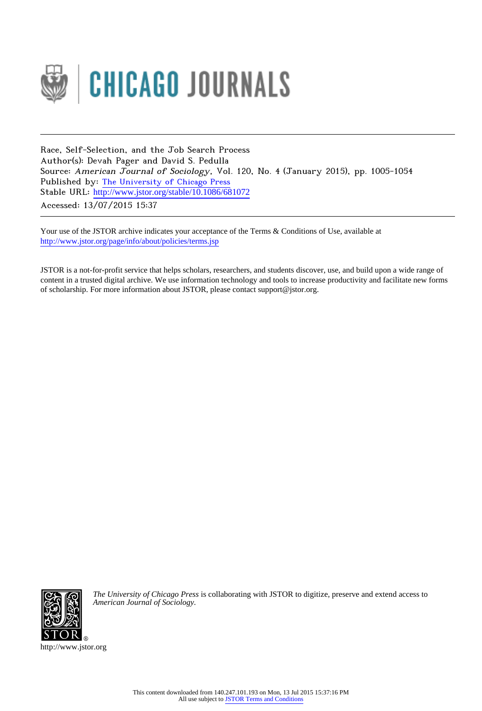

Race, Self-Selection, and the Job Search Process Author(s): Devah Pager and David S. Pedulla Source: American Journal of Sociology, Vol. 120, No. 4 (January 2015), pp. 1005-1054 Published by: [The University of Chicago Press](http://www.jstor.org/action/showPublisher?publisherCode=ucpress) Stable URL: http://www.jstor.org/stable/10.1086/681072 Accessed: 13/07/2015 15:37

Your use of the JSTOR archive indicates your acceptance of the Terms & Conditions of Use, available at <http://www.jstor.org/page/info/about/policies/terms.jsp>

JSTOR is a not-for-profit service that helps scholars, researchers, and students discover, use, and build upon a wide range of content in a trusted digital archive. We use information technology and tools to increase productivity and facilitate new forms of scholarship. For more information about JSTOR, please contact support@jstor.org.



*The University of Chicago Press* is collaborating with JSTOR to digitize, preserve and extend access to *American Journal of Sociology.*

http://www.jstor.org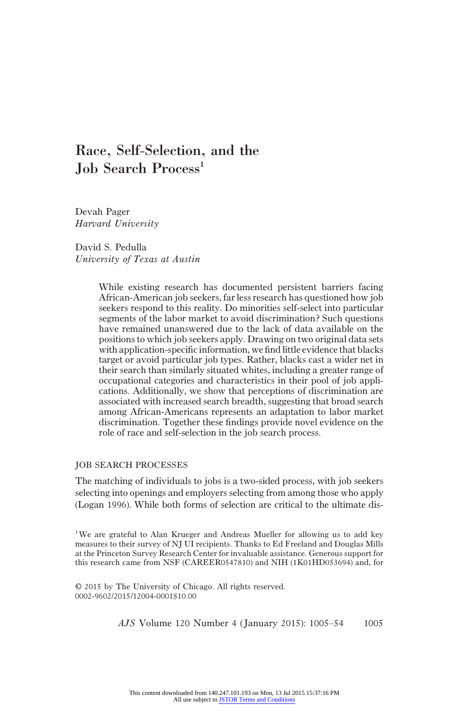# Race, Self-Selection, and the Job Search Process<sup>1</sup>

Devah Pager Harvard University

David S. Pedulla University of Texas at Austin

> While existing research has documented persistent barriers facing African-American job seekers, far less research has questioned how job seekers respond to this reality. Do minorities self-select into particular segments of the labor market to avoid discrimination? Such questions have remained unanswered due to the lack of data available on the positions to which job seekers apply. Drawing on two original data sets with application-specific information, we find little evidence that blacks target or avoid particular job types. Rather, blacks cast a wider net in their search than similarly situated whites, including a greater range of occupational categories and characteristics in their pool of job applications. Additionally, we show that perceptions of discrimination are associated with increased search breadth, suggesting that broad search among African-Americans represents an adaptation to labor market discrimination. Together these findings provide novel evidence on the role of race and self-selection in the job search process.

### JOB SEARCH PROCESSES

The matching of individuals to jobs is a two-sided process, with job seekers selecting into openings and employers selecting from among those who apply (Logan 1996). While both forms of selection are critical to the ultimate dis-

<sup>1</sup>We are grateful to Alan Krueger and Andreas Mueller for allowing us to add key measures to their survey of NJ UI recipients. Thanks to Ed Freeland and Douglas Mills at the Princeton Survey Research Center for invaluable assistance. Generous support for this research came from NSF (CAREER0547810) and NIH (1K01HD053694) and, for

© 2015 by The University of Chicago. All rights reserved. 0002-9602/2015/12004-0001\$10.00

AJS Volume 120 Number 4 (January 2015): 1005–54 1005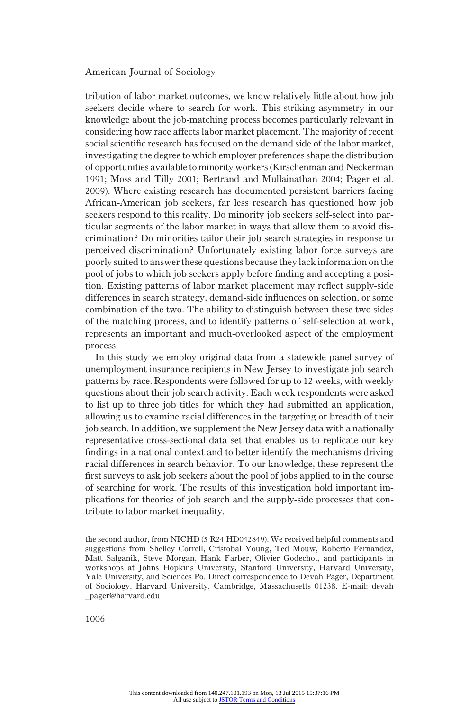tribution of labor market outcomes, we know relatively little about how job seekers decide where to search for work. This striking asymmetry in our knowledge about the job-matching process becomes particularly relevant in considering how race affects labor market placement. The majority of recent social scientific research has focused on the demand side of the labor market, investigating the degree to which employer preferences shape the distribution of opportunities available to minority workers (Kirschenman and Neckerman 1991; Moss and Tilly 2001; Bertrand and Mullainathan 2004; Pager et al. 2009). Where existing research has documented persistent barriers facing African-American job seekers, far less research has questioned how job seekers respond to this reality. Do minority job seekers self-select into particular segments of the labor market in ways that allow them to avoid discrimination? Do minorities tailor their job search strategies in response to perceived discrimination? Unfortunately existing labor force surveys are poorly suited to answer these questions because they lack information on the pool of jobs to which job seekers apply before finding and accepting a position. Existing patterns of labor market placement may reflect supply-side differences in search strategy, demand-side influences on selection, or some combination of the two. The ability to distinguish between these two sides of the matching process, and to identify patterns of self-selection at work, represents an important and much-overlooked aspect of the employment process.

In this study we employ original data from a statewide panel survey of unemployment insurance recipients in New Jersey to investigate job search patterns by race. Respondents were followed for up to 12 weeks, with weekly questions about their job search activity. Each week respondents were asked to list up to three job titles for which they had submitted an application, allowing us to examine racial differences in the targeting or breadth of their job search. In addition, we supplement the New Jersey data with a nationally representative cross-sectional data set that enables us to replicate our key findings in a national context and to better identify the mechanisms driving racial differences in search behavior. To our knowledge, these represent the first surveys to ask job seekers about the pool of jobs applied to in the course of searching for work. The results of this investigation hold important implications for theories of job search and the supply-side processes that contribute to labor market inequality.

the second author, from NICHD (5 R24 HD042849). We received helpful comments and suggestions from Shelley Correll, Cristobal Young, Ted Mouw, Roberto Fernandez, Matt Salganik, Steve Morgan, Hank Farber, Olivier Godechot, and participants in workshops at Johns Hopkins University, Stanford University, Harvard University, Yale University, and Sciences Po. Direct correspondence to Devah Pager, Department of Sociology, Harvard University, Cambridge, Massachusetts 01238. E-mail: devah \_pager@harvard.edu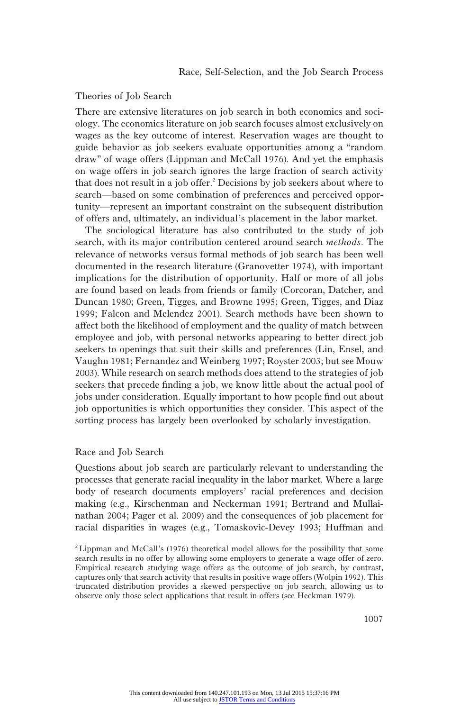## Theories of Job Search

There are extensive literatures on job search in both economics and sociology. The economics literature on job search focuses almost exclusively on wages as the key outcome of interest. Reservation wages are thought to guide behavior as job seekers evaluate opportunities among a "random draw" of wage offers (Lippman and McCall 1976). And yet the emphasis on wage offers in job search ignores the large fraction of search activity that does not result in a job offer.<sup>2</sup> Decisions by job seekers about where to search—based on some combination of preferences and perceived opportunity—represent an important constraint on the subsequent distribution of offers and, ultimately, an individual's placement in the labor market.

The sociological literature has also contributed to the study of job search, with its major contribution centered around search methods. The relevance of networks versus formal methods of job search has been well documented in the research literature (Granovetter 1974), with important implications for the distribution of opportunity. Half or more of all jobs are found based on leads from friends or family (Corcoran, Datcher, and Duncan 1980; Green, Tigges, and Browne 1995; Green, Tigges, and Diaz 1999; Falcon and Melendez 2001). Search methods have been shown to affect both the likelihood of employment and the quality of match between employee and job, with personal networks appearing to better direct job seekers to openings that suit their skills and preferences (Lin, Ensel, and Vaughn 1981; Fernandez and Weinberg 1997; Royster 2003; but see Mouw 2003). While research on search methods does attend to the strategies of job seekers that precede finding a job, we know little about the actual pool of jobs under consideration. Equally important to how people find out about job opportunities is which opportunities they consider. This aspect of the sorting process has largely been overlooked by scholarly investigation.

#### Race and Job Search

Questions about job search are particularly relevant to understanding the processes that generate racial inequality in the labor market. Where a large body of research documents employers' racial preferences and decision making (e.g., Kirschenman and Neckerman 1991; Bertrand and Mullainathan 2004; Pager et al. 2009) and the consequences of job placement for racial disparities in wages (e.g., Tomaskovic-Devey 1993; Huffman and

<sup>2</sup>Lippman and McCall's (1976) theoretical model allows for the possibility that some search results in no offer by allowing some employers to generate a wage offer of zero. Empirical research studying wage offers as the outcome of job search, by contrast, captures only that search activity that results in positive wage offers (Wolpin 1992). This truncated distribution provides a skewed perspective on job search, allowing us to observe only those select applications that result in offers (see Heckman 1979).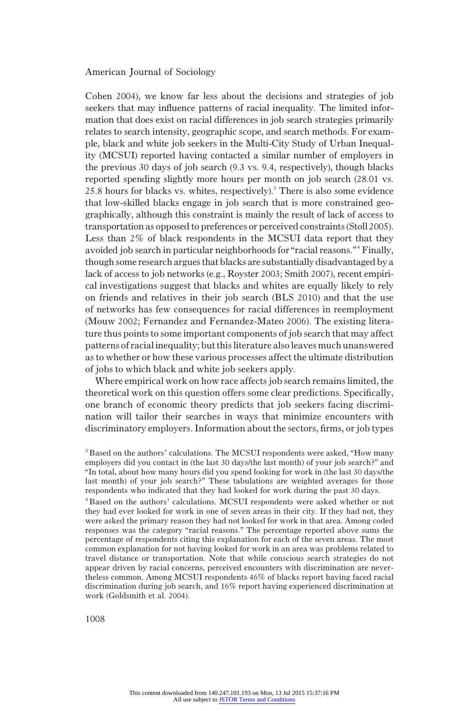Cohen 2004), we know far less about the decisions and strategies of job seekers that may influence patterns of racial inequality. The limited information that does exist on racial differences in job search strategies primarily relates to search intensity, geographic scope, and search methods. For example, black and white job seekers in the Multi-City Study of Urban Inequality (MCSUI) reported having contacted a similar number of employers in the previous 30 days of job search (9.3 vs. 9.4, respectively), though blacks reported spending slightly more hours per month on job search (28.01 vs.  $25.8$  hours for blacks vs. whites, respectively).<sup>3</sup> There is also some evidence that low-skilled blacks engage in job search that is more constrained geographically, although this constraint is mainly the result of lack of access to transportation as opposed to preferences or perceived constraints (Stoll 2005). Less than 2% of black respondents in the MCSUI data report that they avoided job search in particular neighborhoods for "racial reasons."<sup>4</sup> Finally, though some research argues that blacks are substantially disadvantaged by a lack of access to job networks (e.g., Royster 2003; Smith 2007), recent empirical investigations suggest that blacks and whites are equally likely to rely on friends and relatives in their job search (BLS 2010) and that the use of networks has few consequences for racial differences in reemployment (Mouw 2002; Fernandez and Fernandez-Mateo 2006). The existing literature thus points to some important components of job search that may affect patterns of racial inequality; but this literature also leaves much unanswered as to whether or how these various processes affect the ultimate distribution of jobs to which black and white job seekers apply.

Where empirical work on how race affects job search remains limited, the theoretical work on this question offers some clear predictions. Specifically, one branch of economic theory predicts that job seekers facing discrimination will tailor their searches in ways that minimize encounters with discriminatory employers. Information about the sectors, firms, or job types

<sup>&</sup>lt;sup>3</sup> Based on the authors' calculations. The MCSUI respondents were asked, "How many employers did you contact in (the last 30 days/the last month) of your job search?" and "In total, about how many hours did you spend looking for work in (the last 30 days/the last month) of your job search?" These tabulations are weighted averages for those respondents who indicated that they had looked for work during the past 30 days.

<sup>4</sup>Based on the authors' calculations. MCSUI respondents were asked whether or not they had ever looked for work in one of seven areas in their city. If they had not, they were asked the primary reason they had not looked for work in that area. Among coded responses was the category "racial reasons." The percentage reported above sums the percentage of respondents citing this explanation for each of the seven areas. The most common explanation for not having looked for work in an area was problems related to travel distance or transportation. Note that while conscious search strategies do not appear driven by racial concerns, perceived encounters with discrimination are nevertheless common. Among MCSUI respondents 46% of blacks report having faced racial discrimination during job search, and 16% report having experienced discrimination at work (Goldsmith et al. 2004).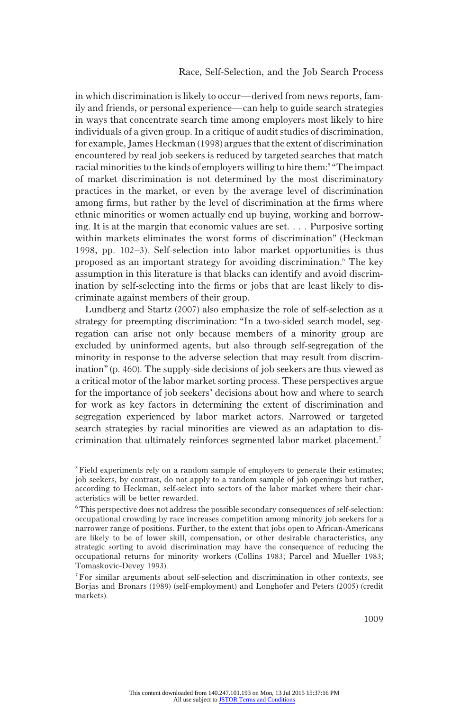in which discrimination is likely to occur—derived from news reports, family and friends, or personal experience—can help to guide search strategies in ways that concentrate search time among employers most likely to hire individuals of a given group. In a critique of audit studies of discrimination, for example, James Heckman (1998) argues that the extent of discrimination encountered by real job seekers is reduced by targeted searches that match racial minorities to the kinds of employers willing to hire them:<sup>5 "The impact</sup> of market discrimination is not determined by the most discriminatory practices in the market, or even by the average level of discrimination among firms, but rather by the level of discrimination at the firms where ethnic minorities or women actually end up buying, working and borrowing. It is at the margin that economic values are set. . . . Purposive sorting within markets eliminates the worst forms of discrimination" (Heckman 1998, pp. 102–3). Self-selection into labor market opportunities is thus proposed as an important strategy for avoiding discrimination.6 The key assumption in this literature is that blacks can identify and avoid discrimination by self-selecting into the firms or jobs that are least likely to discriminate against members of their group.

Lundberg and Startz (2007) also emphasize the role of self-selection as a strategy for preempting discrimination: "In a two-sided search model, segregation can arise not only because members of a minority group are excluded by uninformed agents, but also through self-segregation of the minority in response to the adverse selection that may result from discrimination" (p. 460). The supply-side decisions of job seekers are thus viewed as a critical motor of the labor market sorting process. These perspectives argue for the importance of job seekers' decisions about how and where to search for work as key factors in determining the extent of discrimination and segregation experienced by labor market actors. Narrowed or targeted search strategies by racial minorities are viewed as an adaptation to discrimination that ultimately reinforces segmented labor market placement.7

 $5$  Field experiments rely on a random sample of employers to generate their estimates; job seekers, by contrast, do not apply to a random sample of job openings but rather, according to Heckman, self-select into sectors of the labor market where their characteristics will be better rewarded.

<sup>6</sup>This perspective does not address the possible secondary consequences of self-selection: occupational crowding by race increases competition among minority job seekers for a narrower range of positions. Further, to the extent that jobs open to African-Americans are likely to be of lower skill, compensation, or other desirable characteristics, any strategic sorting to avoid discrimination may have the consequence of reducing the occupational returns for minority workers (Collins 1983; Parcel and Mueller 1983; Tomaskovic-Devey 1993).

<sup>7</sup>For similar arguments about self-selection and discrimination in other contexts, see Borjas and Bronars (1989) (self-employment) and Longhofer and Peters (2005) (credit markets).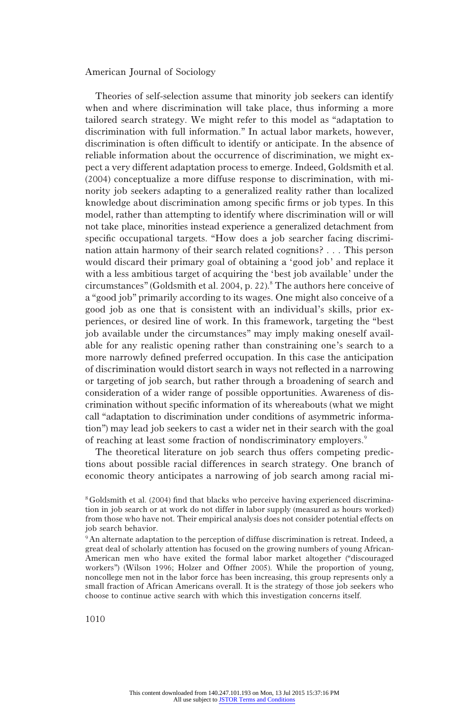Theories of self-selection assume that minority job seekers can identify when and where discrimination will take place, thus informing a more tailored search strategy. We might refer to this model as "adaptation to discrimination with full information." In actual labor markets, however, discrimination is often difficult to identify or anticipate. In the absence of reliable information about the occurrence of discrimination, we might expect a very different adaptation process to emerge. Indeed, Goldsmith et al. (2004) conceptualize a more diffuse response to discrimination, with minority job seekers adapting to a generalized reality rather than localized knowledge about discrimination among specific firms or job types. In this model, rather than attempting to identify where discrimination will or will not take place, minorities instead experience a generalized detachment from specific occupational targets. "How does a job searcher facing discrimination attain harmony of their search related cognitions? . . . This person would discard their primary goal of obtaining a 'good job' and replace it with a less ambitious target of acquiring the 'best job available' under the circumstances" (Goldsmith et al. 2004, p. 22).<sup>8</sup> The authors here conceive of a "good job" primarily according to its wages. One might also conceive of a good job as one that is consistent with an individual's skills, prior experiences, or desired line of work. In this framework, targeting the "best job available under the circumstances" may imply making oneself available for any realistic opening rather than constraining one's search to a more narrowly defined preferred occupation. In this case the anticipation of discrimination would distort search in ways not reflected in a narrowing or targeting of job search, but rather through a broadening of search and consideration of a wider range of possible opportunities. Awareness of discrimination without specific information of its whereabouts (what we might call "adaptation to discrimination under conditions of asymmetric information") may lead job seekers to cast a wider net in their search with the goal of reaching at least some fraction of nondiscriminatory employers.<sup>9</sup>

The theoretical literature on job search thus offers competing predictions about possible racial differences in search strategy. One branch of economic theory anticipates a narrowing of job search among racial mi-

<sup>8</sup>Goldsmith et al. (2004) find that blacks who perceive having experienced discrimination in job search or at work do not differ in labor supply (measured as hours worked) from those who have not. Their empirical analysis does not consider potential effects on job search behavior.

<sup>&</sup>lt;sup>9</sup>An alternate adaptation to the perception of diffuse discrimination is retreat. Indeed, a great deal of scholarly attention has focused on the growing numbers of young African-American men who have exited the formal labor market altogether ("discouraged workers") (Wilson 1996; Holzer and Offner 2005). While the proportion of young, noncollege men not in the labor force has been increasing, this group represents only a small fraction of African Americans overall. It is the strategy of those job seekers who choose to continue active search with which this investigation concerns itself.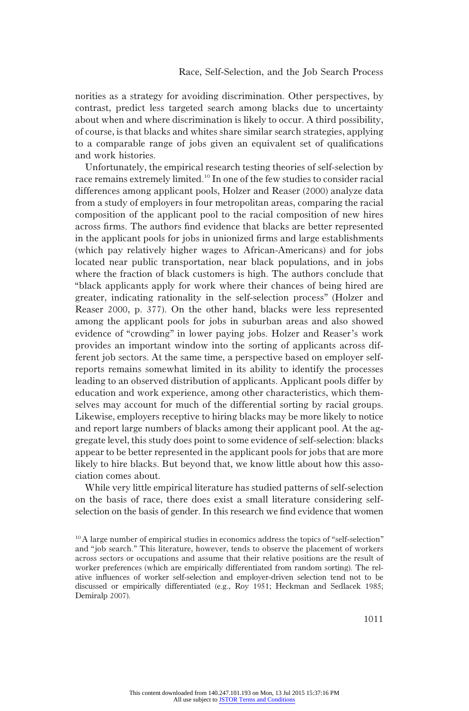norities as a strategy for avoiding discrimination. Other perspectives, by contrast, predict less targeted search among blacks due to uncertainty about when and where discrimination is likely to occur. A third possibility, of course, is that blacks and whites share similar search strategies, applying to a comparable range of jobs given an equivalent set of qualifications and work histories.

Unfortunately, the empirical research testing theories of self-selection by race remains extremely limited.<sup>10</sup> In one of the few studies to consider racial differences among applicant pools, Holzer and Reaser (2000) analyze data from a study of employers in four metropolitan areas, comparing the racial composition of the applicant pool to the racial composition of new hires across firms. The authors find evidence that blacks are better represented in the applicant pools for jobs in unionized firms and large establishments (which pay relatively higher wages to African-Americans) and for jobs located near public transportation, near black populations, and in jobs where the fraction of black customers is high. The authors conclude that "black applicants apply for work where their chances of being hired are greater, indicating rationality in the self-selection process" (Holzer and Reaser 2000, p. 377). On the other hand, blacks were less represented among the applicant pools for jobs in suburban areas and also showed evidence of "crowding" in lower paying jobs. Holzer and Reaser's work provides an important window into the sorting of applicants across different job sectors. At the same time, a perspective based on employer selfreports remains somewhat limited in its ability to identify the processes leading to an observed distribution of applicants. Applicant pools differ by education and work experience, among other characteristics, which themselves may account for much of the differential sorting by racial groups. Likewise, employers receptive to hiring blacks may be more likely to notice and report large numbers of blacks among their applicant pool. At the aggregate level, this study does point to some evidence of self-selection: blacks appear to be better represented in the applicant pools for jobs that are more likely to hire blacks. But beyond that, we know little about how this association comes about.

While very little empirical literature has studied patterns of self-selection on the basis of race, there does exist a small literature considering selfselection on the basis of gender. In this research we find evidence that women

<sup>&</sup>lt;sup>10</sup>A large number of empirical studies in economics address the topics of "self-selection" and "job search." This literature, however, tends to observe the placement of workers across sectors or occupations and assume that their relative positions are the result of worker preferences (which are empirically differentiated from random sorting). The relative influences of worker self-selection and employer-driven selection tend not to be discussed or empirically differentiated (e.g., Roy 1951; Heckman and Sedlacek 1985; Demiralp 2007).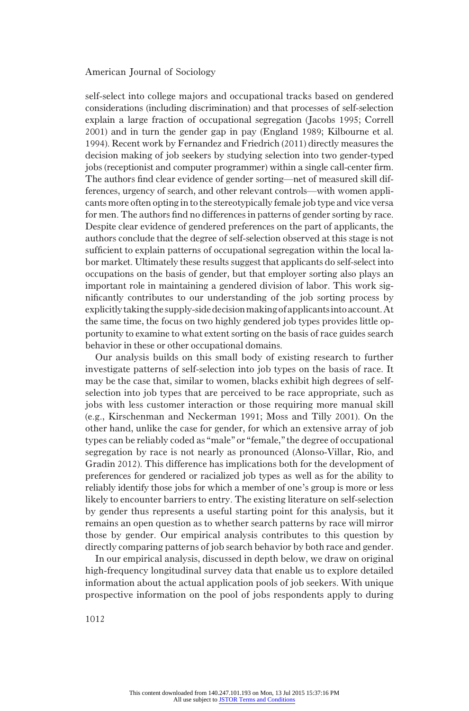self-select into college majors and occupational tracks based on gendered considerations (including discrimination) and that processes of self-selection explain a large fraction of occupational segregation (Jacobs 1995; Correll 2001) and in turn the gender gap in pay (England 1989; Kilbourne et al. 1994). Recent work by Fernandez and Friedrich (2011) directly measures the decision making of job seekers by studying selection into two gender-typed jobs (receptionist and computer programmer) within a single call-center firm. The authors find clear evidence of gender sorting—net of measured skill differences, urgency of search, and other relevant controls—with women applicants more often opting in to the stereotypically female job type and vice versa for men. The authors find no differences in patterns of gender sorting by race. Despite clear evidence of gendered preferences on the part of applicants, the authors conclude that the degree of self-selection observed at this stage is not sufficient to explain patterns of occupational segregation within the local labor market. Ultimately these results suggest that applicants do self-select into occupations on the basis of gender, but that employer sorting also plays an important role in maintaining a gendered division of labor. This work significantly contributes to our understanding of the job sorting process by explicitly taking the supply-sidedecisionmakingof applicantsinto account.At the same time, the focus on two highly gendered job types provides little opportunity to examine to what extent sorting on the basis of race guides search behavior in these or other occupational domains.

Our analysis builds on this small body of existing research to further investigate patterns of self-selection into job types on the basis of race. It may be the case that, similar to women, blacks exhibit high degrees of selfselection into job types that are perceived to be race appropriate, such as jobs with less customer interaction or those requiring more manual skill (e.g., Kirschenman and Neckerman 1991; Moss and Tilly 2001). On the other hand, unlike the case for gender, for which an extensive array of job types can be reliably coded as "male" or "female," the degree of occupational segregation by race is not nearly as pronounced (Alonso-Villar, Rio, and Gradin 2012). This difference has implications both for the development of preferences for gendered or racialized job types as well as for the ability to reliably identify those jobs for which a member of one's group is more or less likely to encounter barriers to entry. The existing literature on self-selection by gender thus represents a useful starting point for this analysis, but it remains an open question as to whether search patterns by race will mirror those by gender. Our empirical analysis contributes to this question by directly comparing patterns of job search behavior by both race and gender.

In our empirical analysis, discussed in depth below, we draw on original high-frequency longitudinal survey data that enable us to explore detailed information about the actual application pools of job seekers. With unique prospective information on the pool of jobs respondents apply to during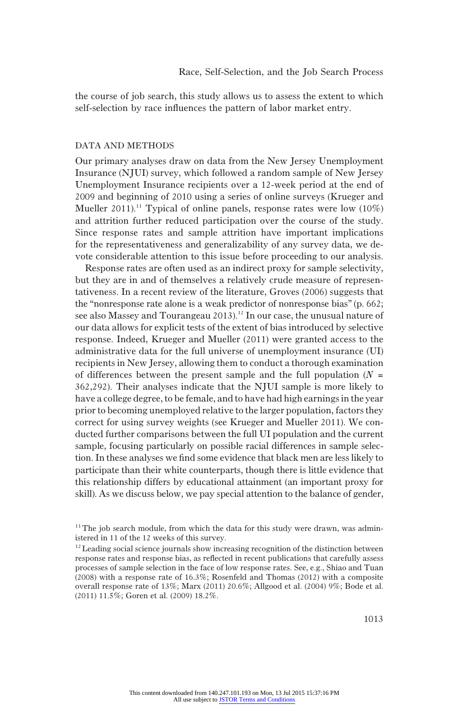the course of job search, this study allows us to assess the extent to which self-selection by race influences the pattern of labor market entry.

#### DATA AND METHODS

Our primary analyses draw on data from the New Jersey Unemployment Insurance (NJUI) survey, which followed a random sample of New Jersey Unemployment Insurance recipients over a 12-week period at the end of 2009 and beginning of 2010 using a series of online surveys (Krueger and Mueller 2011).<sup>11</sup> Typical of online panels, response rates were low  $(10\%)$ and attrition further reduced participation over the course of the study. Since response rates and sample attrition have important implications for the representativeness and generalizability of any survey data, we devote considerable attention to this issue before proceeding to our analysis.

Response rates are often used as an indirect proxy for sample selectivity, but they are in and of themselves a relatively crude measure of representativeness. In a recent review of the literature, Groves (2006) suggests that the "nonresponse rate alone is a weak predictor of nonresponse bias" (p. 662; see also Massey and Tourangeau 2013).<sup>12</sup> In our case, the unusual nature of our data allows for explicit tests of the extent of bias introduced by selective response. Indeed, Krueger and Mueller (2011) were granted access to the administrative data for the full universe of unemployment insurance (UI) recipients in New Jersey, allowing them to conduct a thorough examination of differences between the present sample and the full population  $(N =$ 362,292). Their analyses indicate that the NJUI sample is more likely to have a college degree, to be female, and to have had high earnings in the year prior to becoming unemployed relative to the larger population, factors they correct for using survey weights (see Krueger and Mueller 2011). We conducted further comparisons between the full UI population and the current sample, focusing particularly on possible racial differences in sample selection. In these analyses we find some evidence that black men are less likely to participate than their white counterparts, though there is little evidence that this relationship differs by educational attainment (an important proxy for skill). As we discuss below, we pay special attention to the balance of gender,

 $11$ <sup>11</sup> The job search module, from which the data for this study were drawn, was administered in 11 of the 12 weeks of this survey.

 $12$  Leading social science journals show increasing recognition of the distinction between response rates and response bias, as reflected in recent publications that carefully assess processes of sample selection in the face of low response rates. See, e.g., Shiao and Tuan (2008) with a response rate of 16.3%; Rosenfeld and Thomas (2012) with a composite overall response rate of 13%; Marx (2011) 20.6%; Allgood et al. (2004) 9%; Bode et al. (2011) 11.5%; Goren et al. (2009) 18.2%.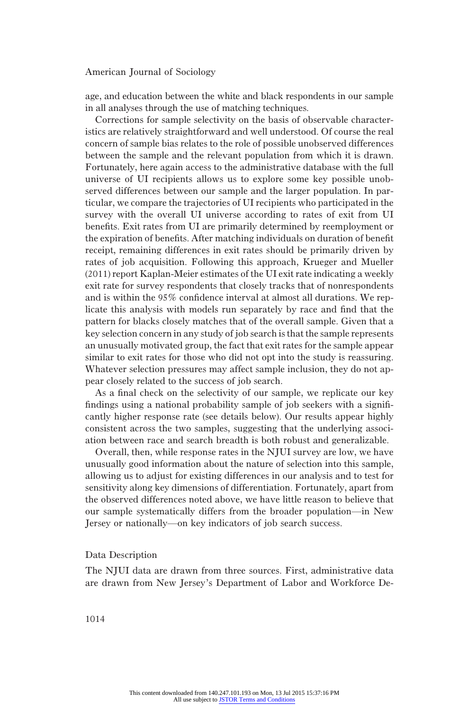age, and education between the white and black respondents in our sample in all analyses through the use of matching techniques.

Corrections for sample selectivity on the basis of observable characteristics are relatively straightforward and well understood. Of course the real concern of sample bias relates to the role of possible unobserved differences between the sample and the relevant population from which it is drawn. Fortunately, here again access to the administrative database with the full universe of UI recipients allows us to explore some key possible unobserved differences between our sample and the larger population. In particular, we compare the trajectories of UI recipients who participated in the survey with the overall UI universe according to rates of exit from UI benefits. Exit rates from UI are primarily determined by reemployment or the expiration of benefits. After matching individuals on duration of benefit receipt, remaining differences in exit rates should be primarily driven by rates of job acquisition. Following this approach, Krueger and Mueller (2011) report Kaplan-Meier estimates of the UI exit rate indicating a weekly exit rate for survey respondents that closely tracks that of nonrespondents and is within the 95% confidence interval at almost all durations. We replicate this analysis with models run separately by race and find that the pattern for blacks closely matches that of the overall sample. Given that a key selection concern in any study of job search is that the sample represents an unusually motivated group, the fact that exit rates for the sample appear similar to exit rates for those who did not opt into the study is reassuring. Whatever selection pressures may affect sample inclusion, they do not appear closely related to the success of job search.

As a final check on the selectivity of our sample, we replicate our key findings using a national probability sample of job seekers with a significantly higher response rate (see details below). Our results appear highly consistent across the two samples, suggesting that the underlying association between race and search breadth is both robust and generalizable.

Overall, then, while response rates in the NJUI survey are low, we have unusually good information about the nature of selection into this sample, allowing us to adjust for existing differences in our analysis and to test for sensitivity along key dimensions of differentiation. Fortunately, apart from the observed differences noted above, we have little reason to believe that our sample systematically differs from the broader population—in New Jersey or nationally—on key indicators of job search success.

## Data Description

The NJUI data are drawn from three sources. First, administrative data are drawn from New Jersey's Department of Labor and Workforce De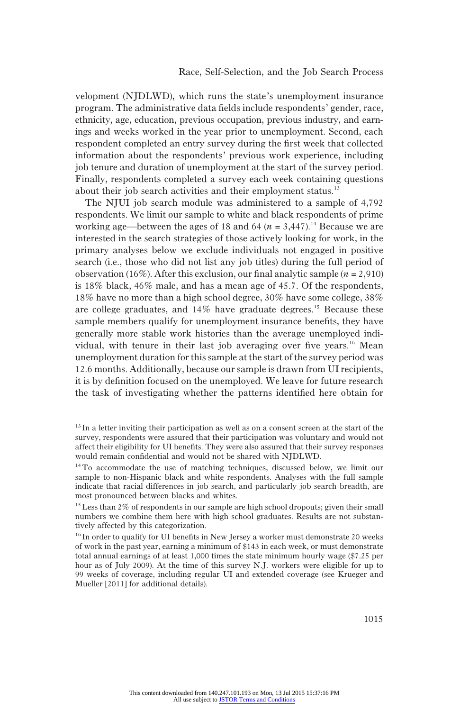velopment (NJDLWD), which runs the state's unemployment insurance program. The administrative data fields include respondents' gender, race, ethnicity, age, education, previous occupation, previous industry, and earnings and weeks worked in the year prior to unemployment. Second, each respondent completed an entry survey during the first week that collected information about the respondents' previous work experience, including job tenure and duration of unemployment at the start of the survey period. Finally, respondents completed a survey each week containing questions about their job search activities and their employment status.<sup>13</sup>

The NJUI job search module was administered to a sample of 4,792 respondents. We limit our sample to white and black respondents of prime working age—between the ages of 18 and 64 ( $n = 3,447$ ).<sup>14</sup> Because we are interested in the search strategies of those actively looking for work, in the primary analyses below we exclude individuals not engaged in positive search (i.e., those who did not list any job titles) during the full period of observation (16%). After this exclusion, our final analytic sample  $(n = 2,910)$ is 18% black, 46% male, and has a mean age of 45.7. Of the respondents, 18% have no more than a high school degree, 30% have some college, 38% are college graduates, and  $14\%$  have graduate degrees.<sup>15</sup> Because these sample members qualify for unemployment insurance benefits, they have generally more stable work histories than the average unemployed individual, with tenure in their last job averaging over five years.<sup>16</sup> Mean unemployment duration for this sample at the start of the survey period was 12.6 months. Additionally, because our sample is drawn from UI recipients, it is by definition focused on the unemployed. We leave for future research the task of investigating whether the patterns identified here obtain for

 $13$  In a letter inviting their participation as well as on a consent screen at the start of the survey, respondents were assured that their participation was voluntary and would not affect their eligibility for UI benefits. They were also assured that their survey responses would remain confidential and would not be shared with NJDLWD.

<sup>&</sup>lt;sup>14</sup>To accommodate the use of matching techniques, discussed below, we limit our sample to non-Hispanic black and white respondents. Analyses with the full sample indicate that racial differences in job search, and particularly job search breadth, are most pronounced between blacks and whites.

<sup>&</sup>lt;sup>15</sup> Less than 2% of respondents in our sample are high school dropouts; given their small numbers we combine them here with high school graduates. Results are not substantively affected by this categorization.

<sup>&</sup>lt;sup>16</sup> In order to qualify for UI benefits in New Jersey a worker must demonstrate 20 weeks of work in the past year, earning a minimum of \$143 in each week, or must demonstrate total annual earnings of at least 1,000 times the state minimum hourly wage (\$7.25 per hour as of July 2009). At the time of this survey N.J. workers were eligible for up to 99 weeks of coverage, including regular UI and extended coverage (see Krueger and Mueller [2011] for additional details).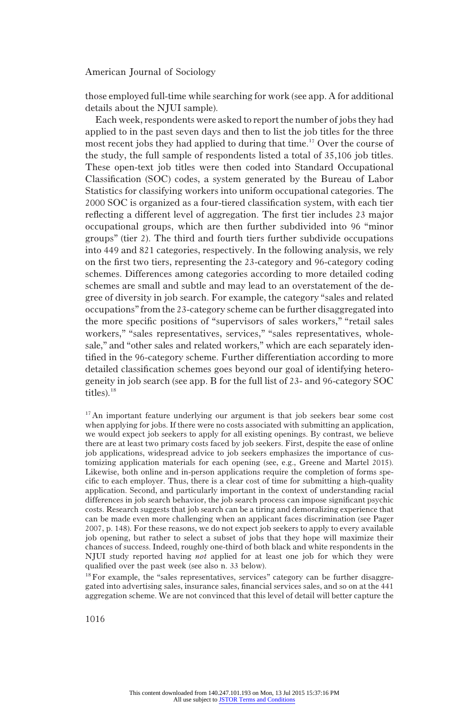those employed full-time while searching for work (see app. A for additional details about the NJUI sample).

Each week, respondents were asked to report the number of jobs they had applied to in the past seven days and then to list the job titles for the three most recent jobs they had applied to during that time.<sup>17</sup> Over the course of the study, the full sample of respondents listed a total of 35,106 job titles. These open-text job titles were then coded into Standard Occupational Classification (SOC) codes, a system generated by the Bureau of Labor Statistics for classifying workers into uniform occupational categories. The 2000 SOC is organized as a four-tiered classification system, with each tier reflecting a different level of aggregation. The first tier includes 23 major occupational groups, which are then further subdivided into 96 "minor groups" (tier 2). The third and fourth tiers further subdivide occupations into 449 and 821 categories, respectively. In the following analysis, we rely on the first two tiers, representing the 23-category and 96-category coding schemes. Differences among categories according to more detailed coding schemes are small and subtle and may lead to an overstatement of the degree of diversity in job search. For example, the category "sales and related occupations"from the 23-category scheme can be further disaggregated into the more specific positions of "supervisors of sales workers," "retail sales workers," "sales representatives, services," "sales representatives, wholesale," and "other sales and related workers," which are each separately identified in the 96-category scheme. Further differentiation according to more detailed classification schemes goes beyond our goal of identifying heterogeneity in job search (see app. B for the full list of 23- and 96-category SOC titles).<sup>18</sup>

<sup>18</sup> For example, the "sales representatives, services" category can be further disaggregated into advertising sales, insurance sales, financial services sales, and so on at the 441 aggregation scheme. We are not convinced that this level of detail will better capture the

<sup>&</sup>lt;sup>17</sup>An important feature underlying our argument is that job seekers bear some cost when applying for jobs. If there were no costs associated with submitting an application, we would expect job seekers to apply for all existing openings. By contrast, we believe there are at least two primary costs faced by job seekers. First, despite the ease of online job applications, widespread advice to job seekers emphasizes the importance of customizing application materials for each opening (see, e.g., Greene and Martel 2015). Likewise, both online and in-person applications require the completion of forms specific to each employer. Thus, there is a clear cost of time for submitting a high-quality application. Second, and particularly important in the context of understanding racial differences in job search behavior, the job search process can impose significant psychic costs. Research suggests that job search can be a tiring and demoralizing experience that can be made even more challenging when an applicant faces discrimination (see Pager 2007, p. 148). For these reasons, we do not expect job seekers to apply to every available job opening, but rather to select a subset of jobs that they hope will maximize their chances of success. Indeed, roughly one-third of both black and white respondents in the NJUI study reported having not applied for at least one job for which they were qualified over the past week (see also n. 33 below).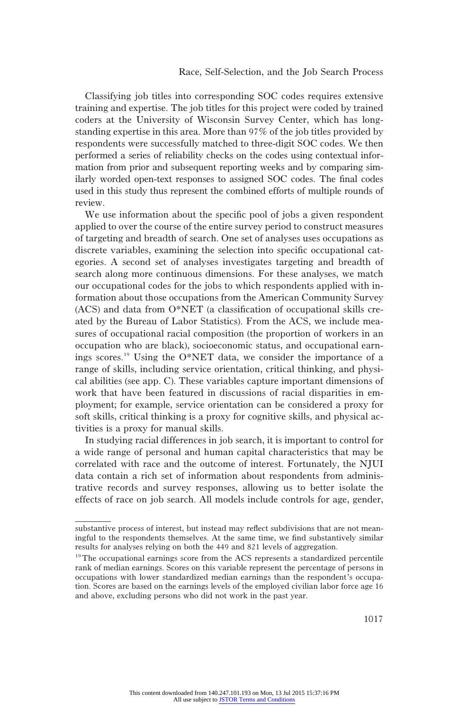Classifying job titles into corresponding SOC codes requires extensive training and expertise. The job titles for this project were coded by trained coders at the University of Wisconsin Survey Center, which has longstanding expertise in this area. More than 97% of the job titles provided by respondents were successfully matched to three-digit SOC codes. We then performed a series of reliability checks on the codes using contextual information from prior and subsequent reporting weeks and by comparing similarly worded open-text responses to assigned SOC codes. The final codes used in this study thus represent the combined efforts of multiple rounds of review.

We use information about the specific pool of jobs a given respondent applied to over the course of the entire survey period to construct measures of targeting and breadth of search. One set of analyses uses occupations as discrete variables, examining the selection into specific occupational categories. A second set of analyses investigates targeting and breadth of search along more continuous dimensions. For these analyses, we match our occupational codes for the jobs to which respondents applied with information about those occupations from the American Community Survey (ACS) and data from O\*NET (a classification of occupational skills created by the Bureau of Labor Statistics). From the ACS, we include measures of occupational racial composition (the proportion of workers in an occupation who are black), socioeconomic status, and occupational earnings scores.<sup>19</sup> Using the O\*NET data, we consider the importance of a range of skills, including service orientation, critical thinking, and physical abilities (see app. C). These variables capture important dimensions of work that have been featured in discussions of racial disparities in employment; for example, service orientation can be considered a proxy for soft skills, critical thinking is a proxy for cognitive skills, and physical activities is a proxy for manual skills.

In studying racial differences in job search, it is important to control for a wide range of personal and human capital characteristics that may be correlated with race and the outcome of interest. Fortunately, the NJUI data contain a rich set of information about respondents from administrative records and survey responses, allowing us to better isolate the effects of race on job search. All models include controls for age, gender,

substantive process of interest, but instead may reflect subdivisions that are not meaningful to the respondents themselves. At the same time, we find substantively similar results for analyses relying on both the 449 and 821 levels of aggregation.

<sup>&</sup>lt;sup>19</sup>The occupational earnings score from the ACS represents a standardized percentile rank of median earnings. Scores on this variable represent the percentage of persons in occupations with lower standardized median earnings than the respondent's occupation. Scores are based on the earnings levels of the employed civilian labor force age 16 and above, excluding persons who did not work in the past year.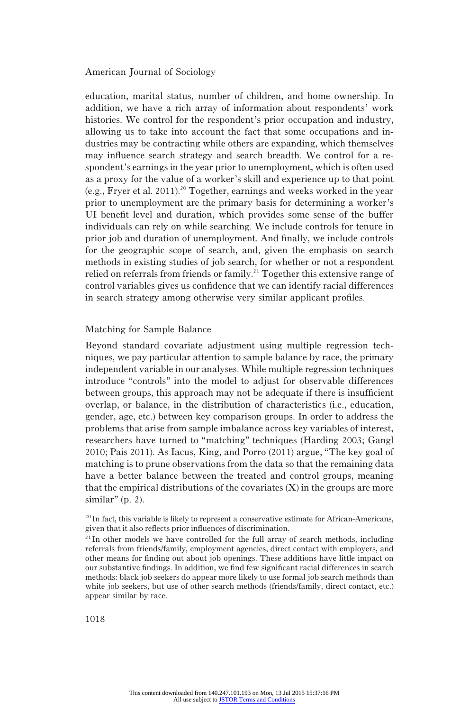education, marital status, number of children, and home ownership. In addition, we have a rich array of information about respondents' work histories. We control for the respondent's prior occupation and industry, allowing us to take into account the fact that some occupations and industries may be contracting while others are expanding, which themselves may influence search strategy and search breadth. We control for a respondent's earnings in the year prior to unemployment, which is often used as a proxy for the value of a worker's skill and experience up to that point (e.g., Fryer et al. 2011).<sup>20</sup> Together, earnings and weeks worked in the year prior to unemployment are the primary basis for determining a worker's UI benefit level and duration, which provides some sense of the buffer individuals can rely on while searching. We include controls for tenure in prior job and duration of unemployment. And finally, we include controls for the geographic scope of search, and, given the emphasis on search methods in existing studies of job search, for whether or not a respondent relied on referrals from friends or family.<sup>21</sup> Together this extensive range of control variables gives us confidence that we can identify racial differences in search strategy among otherwise very similar applicant profiles.

# Matching for Sample Balance

Beyond standard covariate adjustment using multiple regression techniques, we pay particular attention to sample balance by race, the primary independent variable in our analyses. While multiple regression techniques introduce "controls" into the model to adjust for observable differences between groups, this approach may not be adequate if there is insufficient overlap, or balance, in the distribution of characteristics (i.e., education, gender, age, etc.) between key comparison groups. In order to address the problems that arise from sample imbalance across key variables of interest, researchers have turned to "matching" techniques (Harding 2003; Gangl 2010; Pais 2011). As Iacus, King, and Porro (2011) argue, "The key goal of matching is to prune observations from the data so that the remaining data have a better balance between the treated and control groups, meaning that the empirical distributions of the covariates  $(X)$  in the groups are more  $similar''(p. 2)$ .

<sup>&</sup>lt;sup>20</sup> In fact, this variable is likely to represent a conservative estimate for African-Americans, given that it also reflects prior influences of discrimination.

 $21$  In other models we have controlled for the full array of search methods, including referrals from friends/family, employment agencies, direct contact with employers, and other means for finding out about job openings. These additions have little impact on our substantive findings. In addition, we find few significant racial differences in search methods: black job seekers do appear more likely to use formal job search methods than white job seekers, but use of other search methods (friends/family, direct contact, etc.) appear similar by race.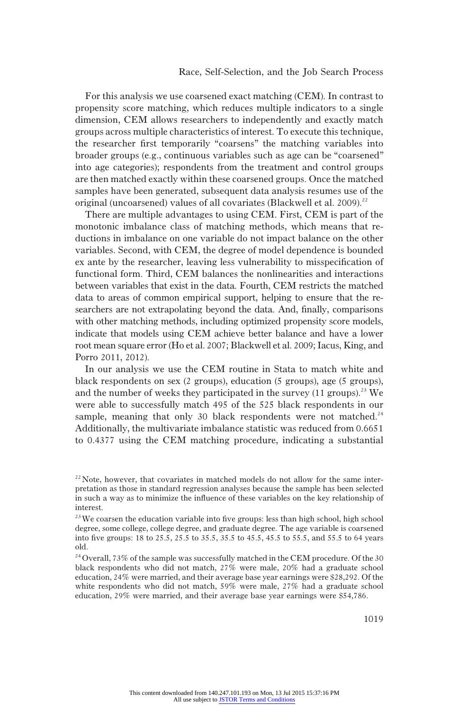For this analysis we use coarsened exact matching (CEM). In contrast to propensity score matching, which reduces multiple indicators to a single dimension, CEM allows researchers to independently and exactly match groups across multiple characteristics of interest. To execute this technique, the researcher first temporarily "coarsens" the matching variables into broader groups (e.g., continuous variables such as age can be "coarsened" into age categories); respondents from the treatment and control groups are then matched exactly within these coarsened groups. Once the matched samples have been generated, subsequent data analysis resumes use of the original (uncoarsened) values of all covariates (Blackwell et al. 2009).<sup>22</sup>

There are multiple advantages to using CEM. First, CEM is part of the monotonic imbalance class of matching methods, which means that reductions in imbalance on one variable do not impact balance on the other variables. Second, with CEM, the degree of model dependence is bounded ex ante by the researcher, leaving less vulnerability to misspecification of functional form. Third, CEM balances the nonlinearities and interactions between variables that exist in the data. Fourth, CEM restricts the matched data to areas of common empirical support, helping to ensure that the researchers are not extrapolating beyond the data. And, finally, comparisons with other matching methods, including optimized propensity score models, indicate that models using CEM achieve better balance and have a lower root mean square error (Ho et al. 2007; Blackwell et al. 2009; Iacus, King, and Porro 2011, 2012).

In our analysis we use the CEM routine in Stata to match white and black respondents on sex (2 groups), education (5 groups), age (5 groups), and the number of weeks they participated in the survey  $(11 \text{ groups})^{23}$  We were able to successfully match 495 of the 525 black respondents in our sample, meaning that only 30 black respondents were not matched. $24$ Additionally, the multivariate imbalance statistic was reduced from 0.6651 to 0.4377 using the CEM matching procedure, indicating a substantial

 $^{22}$  Note, however, that covariates in matched models do not allow for the same interpretation as those in standard regression analyses because the sample has been selected in such a way as to minimize the influence of these variables on the key relationship of interest.

<sup>&</sup>lt;sup>23</sup> We coarsen the education variable into five groups: less than high school, high school degree, some college, college degree, and graduate degree. The age variable is coarsened into five groups: 18 to 25.5, 25.5 to 35.5, 35.5 to 45.5, 45.5 to 55.5, and 55.5 to 64 years old.

 $\rm ^{24}Overall,$   $\rm 73\%$  of the sample was successfully matched in the CEM procedure. Of the 30 black respondents who did not match, 27% were male, 20% had a graduate school education, 24% were married, and their average base year earnings were \$28,292. Of the white respondents who did not match, 59% were male, 27% had a graduate school education, 29% were married, and their average base year earnings were \$54,786.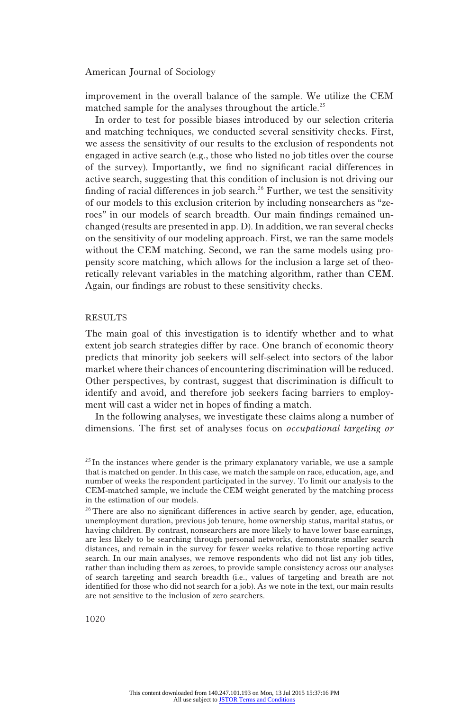improvement in the overall balance of the sample. We utilize the CEM matched sample for the analyses throughout the article.<sup>25</sup>

In order to test for possible biases introduced by our selection criteria and matching techniques, we conducted several sensitivity checks. First, we assess the sensitivity of our results to the exclusion of respondents not engaged in active search (e.g., those who listed no job titles over the course of the survey). Importantly, we find no significant racial differences in active search, suggesting that this condition of inclusion is not driving our finding of racial differences in job search.<sup>26</sup> Further, we test the sensitivity of our models to this exclusion criterion by including nonsearchers as "zeroes" in our models of search breadth. Our main findings remained unchanged (results are presented in app. D). In addition, we ran several checks on the sensitivity of our modeling approach. First, we ran the same models without the CEM matching. Second, we ran the same models using propensity score matching, which allows for the inclusion a large set of theoretically relevant variables in the matching algorithm, rather than CEM. Again, our findings are robust to these sensitivity checks.

## RESULTS

The main goal of this investigation is to identify whether and to what extent job search strategies differ by race. One branch of economic theory predicts that minority job seekers will self-select into sectors of the labor market where their chances of encountering discrimination will be reduced. Other perspectives, by contrast, suggest that discrimination is difficult to identify and avoid, and therefore job seekers facing barriers to employment will cast a wider net in hopes of finding a match.

In the following analyses, we investigate these claims along a number of dimensions. The first set of analyses focus on occupational targeting or

 $^{25}$  In the instances where gender is the primary explanatory variable, we use a sample that is matched on gender. In this case, we match the sample on race, education, age, and number of weeks the respondent participated in the survey. To limit our analysis to the CEM-matched sample, we include the CEM weight generated by the matching process in the estimation of our models.

<sup>&</sup>lt;sup>26</sup>There are also no significant differences in active search by gender, age, education, unemployment duration, previous job tenure, home ownership status, marital status, or having children. By contrast, nonsearchers are more likely to have lower base earnings, are less likely to be searching through personal networks, demonstrate smaller search distances, and remain in the survey for fewer weeks relative to those reporting active search. In our main analyses, we remove respondents who did not list any job titles, rather than including them as zeroes, to provide sample consistency across our analyses of search targeting and search breadth (i.e., values of targeting and breath are not identified for those who did not search for a job). As we note in the text, our main results are not sensitive to the inclusion of zero searchers.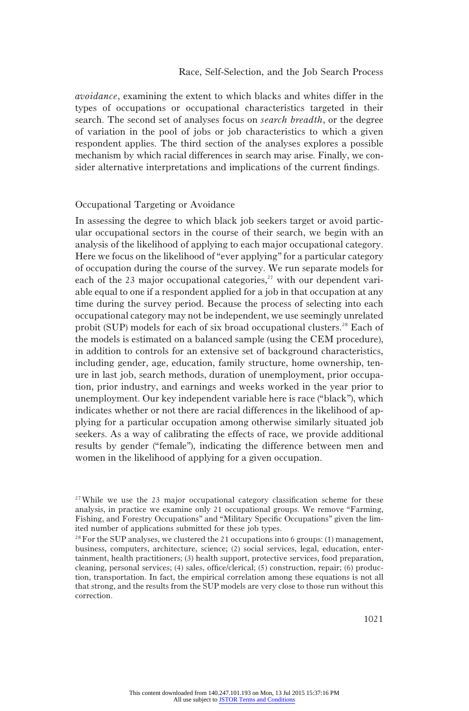avoidance, examining the extent to which blacks and whites differ in the types of occupations or occupational characteristics targeted in their search. The second set of analyses focus on search breadth, or the degree of variation in the pool of jobs or job characteristics to which a given respondent applies. The third section of the analyses explores a possible mechanism by which racial differences in search may arise. Finally, we consider alternative interpretations and implications of the current findings.

# Occupational Targeting or Avoidance

In assessing the degree to which black job seekers target or avoid particular occupational sectors in the course of their search, we begin with an analysis of the likelihood of applying to each major occupational category. Here we focus on the likelihood of "ever applying" for a particular category of occupation during the course of the survey. We run separate models for each of the 23 major occupational categories, $27$  with our dependent variable equal to one if a respondent applied for a job in that occupation at any time during the survey period. Because the process of selecting into each occupational category may not be independent, we use seemingly unrelated probit (SUP) models for each of six broad occupational clusters.<sup>28</sup> Each of the models is estimated on a balanced sample (using the CEM procedure), in addition to controls for an extensive set of background characteristics, including gender, age, education, family structure, home ownership, tenure in last job, search methods, duration of unemployment, prior occupation, prior industry, and earnings and weeks worked in the year prior to unemployment. Our key independent variable here is race ("black"), which indicates whether or not there are racial differences in the likelihood of applying for a particular occupation among otherwise similarly situated job seekers. As a way of calibrating the effects of race, we provide additional results by gender ("female"), indicating the difference between men and women in the likelihood of applying for a given occupation.

 $27$  While we use the 23 major occupational category classification scheme for these analysis, in practice we examine only 21 occupational groups. We remove "Farming, Fishing, and Forestry Occupations" and "Military Specific Occupations" given the limited number of applications submitted for these job types.

 $^{28}$  For the SUP analyses, we clustered the 21 occupations into 6 groups: (1) management, business, computers, architecture, science; (2) social services, legal, education, entertainment, health practitioners; (3) health support, protective services, food preparation, cleaning, personal services; (4) sales, office/clerical; (5) construction, repair; (6) production, transportation. In fact, the empirical correlation among these equations is not all that strong, and the results from the SUP models are very close to those run without this correction.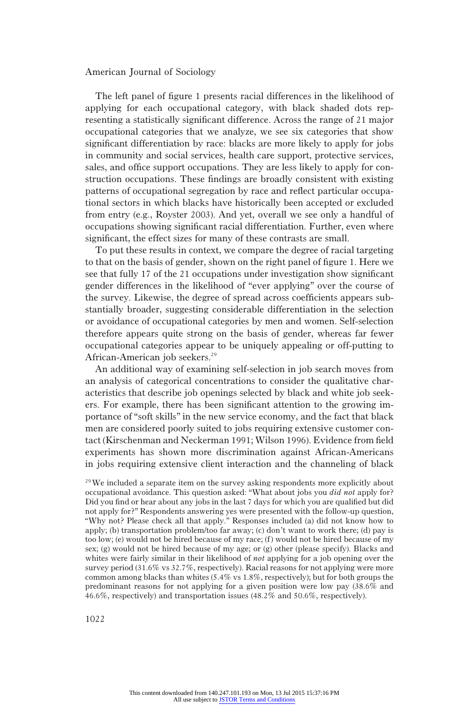The left panel of figure 1 presents racial differences in the likelihood of applying for each occupational category, with black shaded dots representing a statistically significant difference. Across the range of 21 major occupational categories that we analyze, we see six categories that show significant differentiation by race: blacks are more likely to apply for jobs in community and social services, health care support, protective services, sales, and office support occupations. They are less likely to apply for construction occupations. These findings are broadly consistent with existing patterns of occupational segregation by race and reflect particular occupational sectors in which blacks have historically been accepted or excluded from entry (e.g., Royster 2003). And yet, overall we see only a handful of occupations showing significant racial differentiation. Further, even where significant, the effect sizes for many of these contrasts are small.

To put these results in context, we compare the degree of racial targeting to that on the basis of gender, shown on the right panel of figure 1. Here we see that fully 17 of the 21 occupations under investigation show significant gender differences in the likelihood of "ever applying" over the course of the survey. Likewise, the degree of spread across coefficients appears substantially broader, suggesting considerable differentiation in the selection or avoidance of occupational categories by men and women. Self-selection therefore appears quite strong on the basis of gender, whereas far fewer occupational categories appear to be uniquely appealing or off-putting to African-American job seekers.<sup>29</sup>

An additional way of examining self-selection in job search moves from an analysis of categorical concentrations to consider the qualitative characteristics that describe job openings selected by black and white job seekers. For example, there has been significant attention to the growing importance of "soft skills" in the new service economy, and the fact that black men are considered poorly suited to jobs requiring extensive customer contact (Kirschenman and Neckerman 1991; Wilson 1996). Evidence from field experiments has shown more discrimination against African-Americans in jobs requiring extensive client interaction and the channeling of black

<sup>29</sup>We included a separate item on the survey asking respondents more explicitly about occupational avoidance. This question asked: "What about jobs you did not apply for? Did you find or hear about any jobs in the last 7 days for which you are qualified but did not apply for?" Respondents answering yes were presented with the follow-up question, "Why not? Please check all that apply." Responses included (a) did not know how to apply; (b) transportation problem/too far away; (c) don't want to work there; (d) pay is too low; (e) would not be hired because of my race; (f) would not be hired because of my sex; (g) would not be hired because of my age; or (g) other (please specify). Blacks and whites were fairly similar in their likelihood of *not* applying for a job opening over the survey period (31.6% vs 32.7%, respectively). Racial reasons for not applying were more common among blacks than whites (5.4% vs 1.8%, respectively); but for both groups the predominant reasons for not applying for a given position were low pay (38.6% and 46.6%, respectively) and transportation issues (48.2% and 50.6%, respectively).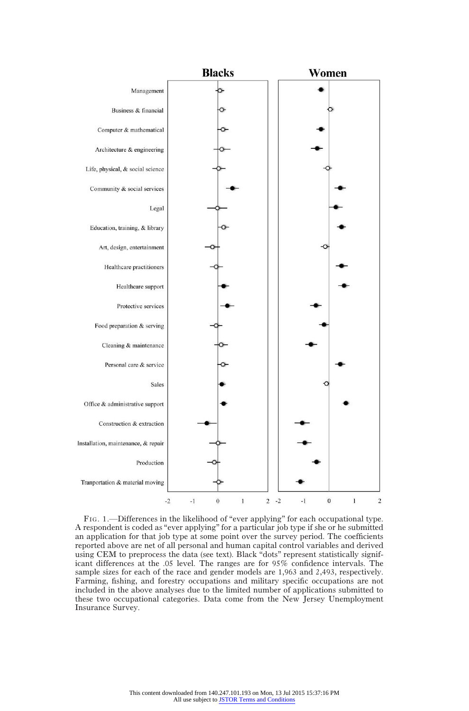

FIG. 1.—Differences in the likelihood of "ever applying" for each occupational type. A respondent is coded as "ever applying" for a particular job type if she or he submitted an application for that job type at some point over the survey period. The coefficients reported above are net of all personal and human capital control variables and derived using CEM to preprocess the data (see text). Black "dots" represent statistically significant differences at the .05 level. The ranges are for 95% confidence intervals. The sample sizes for each of the race and gender models are 1,963 and 2,493, respectively. Farming, fishing, and forestry occupations and military specific occupations are not included in the above analyses due to the limited number of applications submitted to these two occupational categories. Data come from the New Jersey Unemployment Insurance Survey.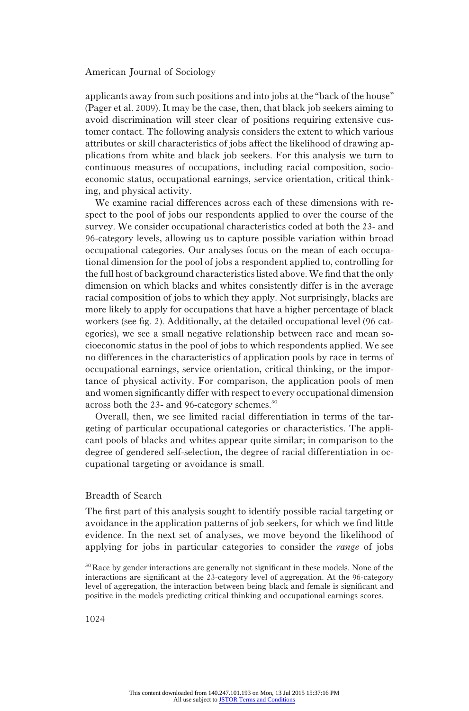applicants away from such positions and into jobs at the "back of the house" (Pager et al. 2009). It may be the case, then, that black job seekers aiming to avoid discrimination will steer clear of positions requiring extensive customer contact. The following analysis considers the extent to which various attributes or skill characteristics of jobs affect the likelihood of drawing applications from white and black job seekers. For this analysis we turn to continuous measures of occupations, including racial composition, socioeconomic status, occupational earnings, service orientation, critical thinking, and physical activity.

We examine racial differences across each of these dimensions with respect to the pool of jobs our respondents applied to over the course of the survey. We consider occupational characteristics coded at both the 23- and 96-category levels, allowing us to capture possible variation within broad occupational categories. Our analyses focus on the mean of each occupational dimension for the pool of jobs a respondent applied to, controlling for the full host of background characteristics listed above.We find that the only dimension on which blacks and whites consistently differ is in the average racial composition of jobs to which they apply. Not surprisingly, blacks are more likely to apply for occupations that have a higher percentage of black workers (see fig. 2). Additionally, at the detailed occupational level (96 categories), we see a small negative relationship between race and mean socioeconomic status in the pool of jobs to which respondents applied. We see no differences in the characteristics of application pools by race in terms of occupational earnings, service orientation, critical thinking, or the importance of physical activity. For comparison, the application pools of men and women significantly differ with respect to every occupational dimension across both the 23- and 96-category schemes.<sup>30</sup>

Overall, then, we see limited racial differentiation in terms of the targeting of particular occupational categories or characteristics. The applicant pools of blacks and whites appear quite similar; in comparison to the degree of gendered self-selection, the degree of racial differentiation in occupational targeting or avoidance is small.

## Breadth of Search

The first part of this analysis sought to identify possible racial targeting or avoidance in the application patterns of job seekers, for which we find little evidence. In the next set of analyses, we move beyond the likelihood of applying for jobs in particular categories to consider the range of jobs

<sup>30</sup>Race by gender interactions are generally not significant in these models. None of the interactions are significant at the 23-category level of aggregation. At the 96-category level of aggregation, the interaction between being black and female is significant and positive in the models predicting critical thinking and occupational earnings scores.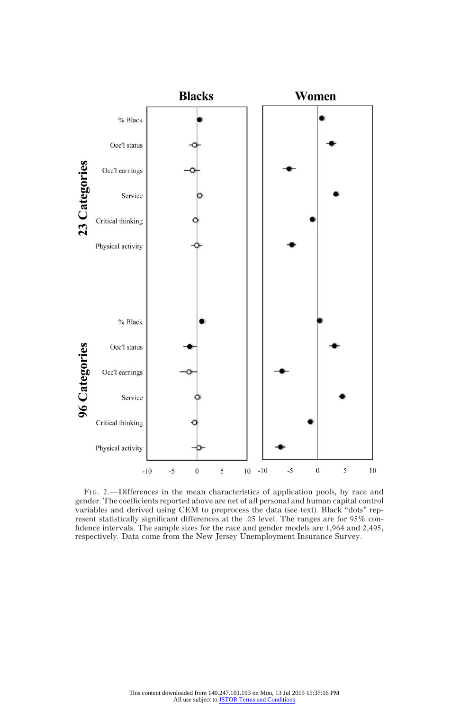

FIG. 2.—Differences in the mean characteristics of application pools, by race and gender. The coefficients reported above are net of all personal and human capital control variables and derived using CEM to preprocess the data (see text). Black "dots" represent statistically significant differences at the .05 level. The ranges are for 95% confidence intervals. The sample sizes for the race and gender models are 1,964 and 2,495, respectively. Data come from the New Jersey Unemployment Insurance Survey.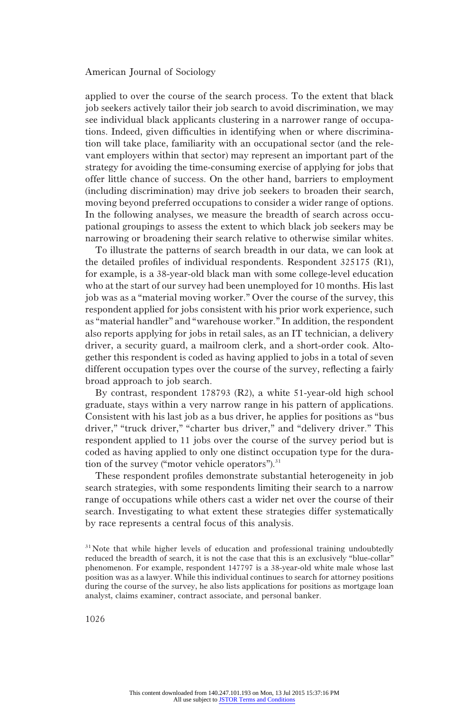applied to over the course of the search process. To the extent that black job seekers actively tailor their job search to avoid discrimination, we may see individual black applicants clustering in a narrower range of occupations. Indeed, given difficulties in identifying when or where discrimination will take place, familiarity with an occupational sector (and the relevant employers within that sector) may represent an important part of the strategy for avoiding the time-consuming exercise of applying for jobs that offer little chance of success. On the other hand, barriers to employment (including discrimination) may drive job seekers to broaden their search, moving beyond preferred occupations to consider a wider range of options. In the following analyses, we measure the breadth of search across occupational groupings to assess the extent to which black job seekers may be narrowing or broadening their search relative to otherwise similar whites.

To illustrate the patterns of search breadth in our data, we can look at the detailed profiles of individual respondents. Respondent 325175 (R1), for example, is a 38-year-old black man with some college-level education who at the start of our survey had been unemployed for 10 months. His last job was as a "material moving worker." Over the course of the survey, this respondent applied for jobs consistent with his prior work experience, such as "material handler" and "warehouse worker." In addition, the respondent also reports applying for jobs in retail sales, as an IT technician, a delivery driver, a security guard, a mailroom clerk, and a short-order cook. Altogether this respondent is coded as having applied to jobs in a total of seven different occupation types over the course of the survey, reflecting a fairly broad approach to job search.

By contrast, respondent 178793 (R2), a white 51-year-old high school graduate, stays within a very narrow range in his pattern of applications. Consistent with his last job as a bus driver, he applies for positions as "bus driver," "truck driver," "charter bus driver," and "delivery driver." This respondent applied to 11 jobs over the course of the survey period but is coded as having applied to only one distinct occupation type for the duration of the survey ("motor vehicle operators"). $31$ 

These respondent profiles demonstrate substantial heterogeneity in job search strategies, with some respondents limiting their search to a narrow range of occupations while others cast a wider net over the course of their search. Investigating to what extent these strategies differ systematically by race represents a central focus of this analysis.

<sup>&</sup>lt;sup>31</sup>Note that while higher levels of education and professional training undoubtedly reduced the breadth of search, it is not the case that this is an exclusively "blue-collar" phenomenon. For example, respondent 147797 is a 38-year-old white male whose last position was as a lawyer. While this individual continues to search for attorney positions during the course of the survey, he also lists applications for positions as mortgage loan analyst, claims examiner, contract associate, and personal banker.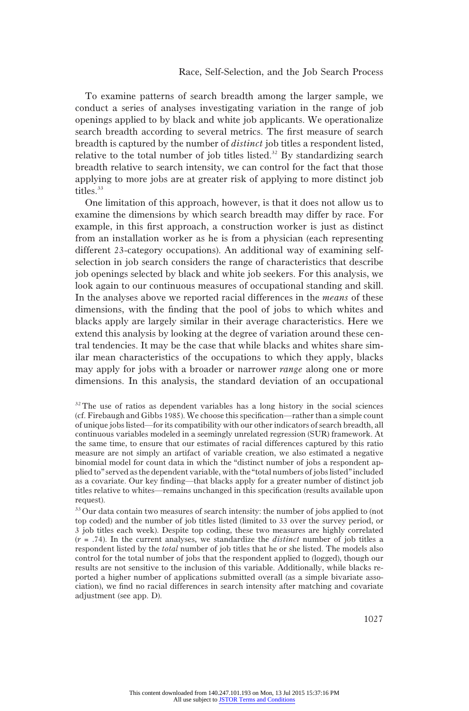To examine patterns of search breadth among the larger sample, we conduct a series of analyses investigating variation in the range of job openings applied to by black and white job applicants. We operationalize search breadth according to several metrics. The first measure of search breadth is captured by the number of distinct job titles a respondent listed, relative to the total number of job titles listed.<sup>32</sup> By standardizing search breadth relative to search intensity, we can control for the fact that those applying to more jobs are at greater risk of applying to more distinct job titles.<sup>33</sup>

One limitation of this approach, however, is that it does not allow us to examine the dimensions by which search breadth may differ by race. For example, in this first approach, a construction worker is just as distinct from an installation worker as he is from a physician (each representing different 23-category occupations). An additional way of examining selfselection in job search considers the range of characteristics that describe job openings selected by black and white job seekers. For this analysis, we look again to our continuous measures of occupational standing and skill. In the analyses above we reported racial differences in the means of these dimensions, with the finding that the pool of jobs to which whites and blacks apply are largely similar in their average characteristics. Here we extend this analysis by looking at the degree of variation around these central tendencies. It may be the case that while blacks and whites share similar mean characteristics of the occupations to which they apply, blacks may apply for jobs with a broader or narrower *range* along one or more dimensions. In this analysis, the standard deviation of an occupational

 $32$  The use of ratios as dependent variables has a long history in the social sciences (cf. Firebaugh and Gibbs 1985). We choose this specification—rather than a simple count of unique jobs listed—for its compatibility with our other indicators of search breadth, all continuous variables modeled in a seemingly unrelated regression (SUR) framework. At the same time, to ensure that our estimates of racial differences captured by this ratio measure are not simply an artifact of variable creation, we also estimated a negative binomial model for count data in which the "distinct number of jobs a respondent applied to"served as the dependent variable, with the "total numbers of jobs listed"included as a covariate. Our key finding—that blacks apply for a greater number of distinct job titles relative to whites—remains unchanged in this specification (results available upon request).

<sup>&</sup>lt;sup>33</sup> Our data contain two measures of search intensity: the number of jobs applied to (not top coded) and the number of job titles listed (limited to 33 over the survey period, or 3 job titles each week). Despite top coding, these two measures are highly correlated  $(r = .74)$ . In the current analyses, we standardize the *distinct* number of job titles a respondent listed by the *total* number of job titles that he or she listed. The models also control for the total number of jobs that the respondent applied to (logged), though our results are not sensitive to the inclusion of this variable. Additionally, while blacks reported a higher number of applications submitted overall (as a simple bivariate association), we find no racial differences in search intensity after matching and covariate adjustment (see app. D).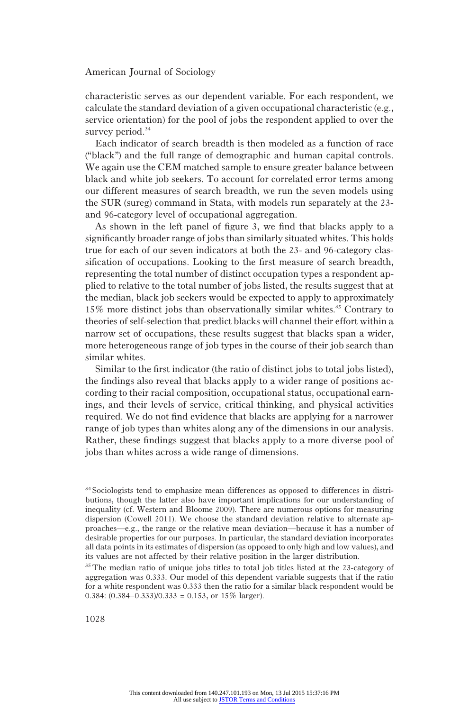characteristic serves as our dependent variable. For each respondent, we calculate the standard deviation of a given occupational characteristic (e.g., service orientation) for the pool of jobs the respondent applied to over the survey period.<sup>34</sup>

Each indicator of search breadth is then modeled as a function of race ("black") and the full range of demographic and human capital controls. We again use the CEM matched sample to ensure greater balance between black and white job seekers. To account for correlated error terms among our different measures of search breadth, we run the seven models using the SUR (sureg) command in Stata, with models run separately at the 23 and 96-category level of occupational aggregation.

As shown in the left panel of figure 3, we find that blacks apply to a significantly broader range of jobs than similarly situated whites. This holds true for each of our seven indicators at both the 23- and 96-category classification of occupations. Looking to the first measure of search breadth, representing the total number of distinct occupation types a respondent applied to relative to the total number of jobs listed, the results suggest that at the median, black job seekers would be expected to apply to approximately 15% more distinct jobs than observationally similar whites.<sup>35</sup> Contrary to theories of self-selection that predict blacks will channel their effort within a narrow set of occupations, these results suggest that blacks span a wider, more heterogeneous range of job types in the course of their job search than similar whites.

Similar to the first indicator (the ratio of distinct jobs to total jobs listed), the findings also reveal that blacks apply to a wider range of positions according to their racial composition, occupational status, occupational earnings, and their levels of service, critical thinking, and physical activities required. We do not find evidence that blacks are applying for a narrower range of job types than whites along any of the dimensions in our analysis. Rather, these findings suggest that blacks apply to a more diverse pool of jobs than whites across a wide range of dimensions.

<sup>34</sup>Sociologists tend to emphasize mean differences as opposed to differences in distributions, though the latter also have important implications for our understanding of inequality (cf. Western and Bloome 2009). There are numerous options for measuring dispersion (Cowell 2011). We choose the standard deviation relative to alternate approaches—e.g., the range or the relative mean deviation—because it has a number of desirable properties for our purposes. In particular, the standard deviation incorporates all data points in its estimates of dispersion (as opposed to only high and low values), and its values are not affected by their relative position in the larger distribution.

<sup>&</sup>lt;sup>35</sup>The median ratio of unique jobs titles to total job titles listed at the 23-category of aggregation was 0.333. Our model of this dependent variable suggests that if the ratio for a white respondent was 0.333 then the ratio for a similar black respondent would be 0.384:  $(0.384 - 0.333)/0.333 = 0.153$ , or  $15\%$  larger).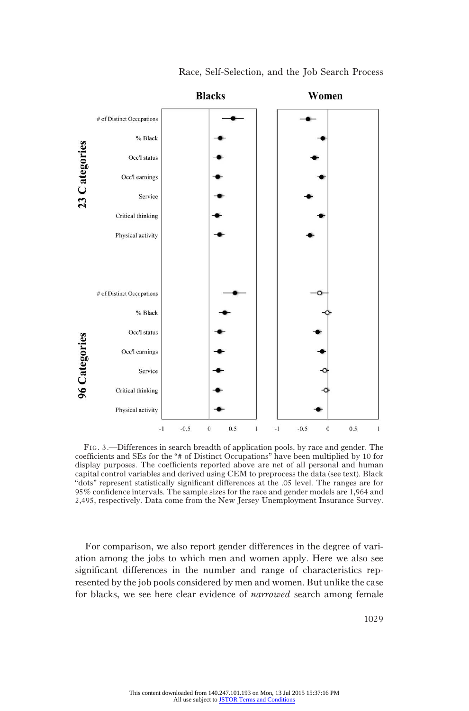

#### Race, Self-Selection, and the Job Search Process

FIG. 3.—Differences in search breadth of application pools, by race and gender. The coefficients and SEs for the "# of Distinct Occupations" have been multiplied by 10 for display purposes. The coefficients reported above are net of all personal and human capital control variables and derived using CEM to preprocess the data (see text). Black "dots" represent statistically significant differences at the .05 level. The ranges are for 95% confidence intervals. The sample sizes for the race and gender models are 1,964 and 2,495, respectively. Data come from the New Jersey Unemployment Insurance Survey.

For comparison, we also report gender differences in the degree of variation among the jobs to which men and women apply. Here we also see significant differences in the number and range of characteristics represented by the job pools considered by men and women. But unlike the case for blacks, we see here clear evidence of narrowed search among female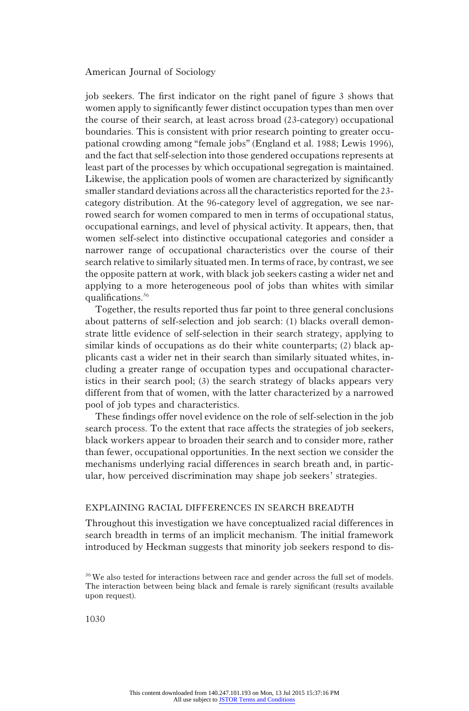job seekers. The first indicator on the right panel of figure 3 shows that women apply to significantly fewer distinct occupation types than men over the course of their search, at least across broad (23-category) occupational boundaries. This is consistent with prior research pointing to greater occupational crowding among "female jobs" (England et al. 1988; Lewis 1996), and the fact that self-selection into those gendered occupations represents at least part of the processes by which occupational segregation is maintained. Likewise, the application pools of women are characterized by significantly smaller standard deviations across all the characteristics reported for the 23 category distribution. At the 96-category level of aggregation, we see narrowed search for women compared to men in terms of occupational status, occupational earnings, and level of physical activity. It appears, then, that women self-select into distinctive occupational categories and consider a narrower range of occupational characteristics over the course of their search relative to similarly situated men. In terms of race, by contrast, we see the opposite pattern at work, with black job seekers casting a wider net and applying to a more heterogeneous pool of jobs than whites with similar qualifications.<sup>36</sup>

Together, the results reported thus far point to three general conclusions about patterns of self-selection and job search: (1) blacks overall demonstrate little evidence of self-selection in their search strategy, applying to similar kinds of occupations as do their white counterparts; (2) black applicants cast a wider net in their search than similarly situated whites, including a greater range of occupation types and occupational characteristics in their search pool; (3) the search strategy of blacks appears very different from that of women, with the latter characterized by a narrowed pool of job types and characteristics.

These findings offer novel evidence on the role of self-selection in the job search process. To the extent that race affects the strategies of job seekers, black workers appear to broaden their search and to consider more, rather than fewer, occupational opportunities. In the next section we consider the mechanisms underlying racial differences in search breath and, in particular, how perceived discrimination may shape job seekers' strategies.

# EXPLAINING RACIAL DIFFERENCES IN SEARCH BREADTH

Throughout this investigation we have conceptualized racial differences in search breadth in terms of an implicit mechanism. The initial framework introduced by Heckman suggests that minority job seekers respond to dis-

<sup>&</sup>lt;sup>36</sup>We also tested for interactions between race and gender across the full set of models. The interaction between being black and female is rarely significant (results available upon request).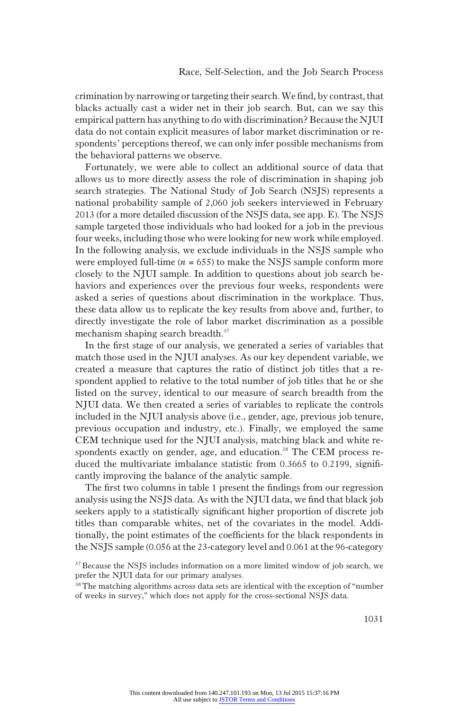crimination by narrowing or targeting their search.We find, by contrast, that blacks actually cast a wider net in their job search. But, can we say this empirical pattern has anything to do with discrimination? Because the NJUI data do not contain explicit measures of labor market discrimination or respondents' perceptions thereof, we can only infer possible mechanisms from the behavioral patterns we observe.

Fortunately, we were able to collect an additional source of data that allows us to more directly assess the role of discrimination in shaping job search strategies. The National Study of Job Search (NSJS) represents a national probability sample of 2,060 job seekers interviewed in February 2013 (for a more detailed discussion of the NSJS data, see app. E). The NSJS sample targeted those individuals who had looked for a job in the previous four weeks, including those who were looking for new work while employed. In the following analysis, we exclude individuals in the NSJS sample who were employed full-time  $(n = 655)$  to make the NSJS sample conform more closely to the NJUI sample. In addition to questions about job search behaviors and experiences over the previous four weeks, respondents were asked a series of questions about discrimination in the workplace. Thus, these data allow us to replicate the key results from above and, further, to directly investigate the role of labor market discrimination as a possible mechanism shaping search breadth.<sup>37</sup>

In the first stage of our analysis, we generated a series of variables that match those used in the NJUI analyses. As our key dependent variable, we created a measure that captures the ratio of distinct job titles that a respondent applied to relative to the total number of job titles that he or she listed on the survey, identical to our measure of search breadth from the NJUI data. We then created a series of variables to replicate the controls included in the NJUI analysis above (i.e., gender, age, previous job tenure, previous occupation and industry, etc.). Finally, we employed the same CEM technique used for the NJUI analysis, matching black and white respondents exactly on gender, age, and education.<sup>38</sup> The CEM process reduced the multivariate imbalance statistic from 0.3665 to 0.2199, significantly improving the balance of the analytic sample.

The first two columns in table 1 present the findings from our regression analysis using the NSJS data. As with the NJUI data, we find that black job seekers apply to a statistically significant higher proportion of discrete job titles than comparable whites, net of the covariates in the model. Additionally, the point estimates of the coefficients for the black respondents in the NSJS sample (0.056 at the 23-category level and 0.061 at the 96-category

<sup>&</sup>lt;sup>37</sup> Because the NSJS includes information on a more limited window of job search, we prefer the NJUI data for our primary analyses.

<sup>38</sup>The matching algorithms across data sets are identical with the exception of "number of weeks in survey," which does not apply for the cross-sectional NSJS data.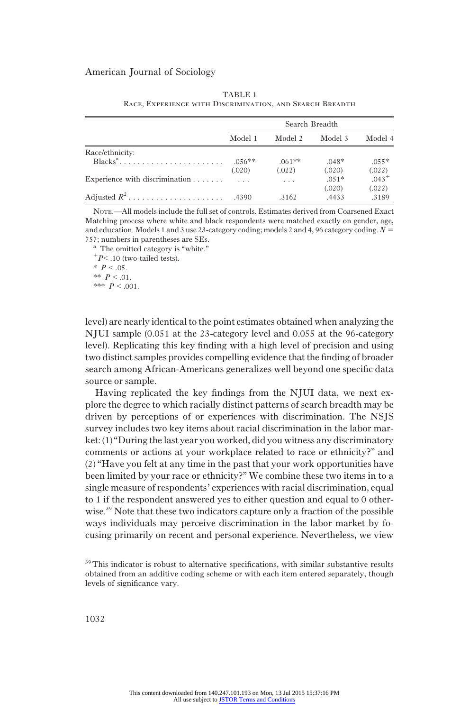|                                                             |          |          | Search Breadth |          |
|-------------------------------------------------------------|----------|----------|----------------|----------|
|                                                             | Model 1  | Model 2  | Model 3        | Model 4  |
| Race/ethnicity:                                             |          |          |                |          |
| $Blacks^a, \ldots, \ldots, \ldots, \ldots, \ldots, \ldots,$ | $.056**$ | $.061**$ | $.048*$        | $.055*$  |
|                                                             | (.020)   | (.022)   | (.020)         | (.022)   |
| Experience with discrimination $\ldots$ , $\ldots$          |          |          | $.051*$        | $.043 +$ |
|                                                             |          |          | (.020)         | (.022)   |
| Adjusted $R^2$                                              | .4390    | .3162    | .4433          | .3189    |

TABLE 1 Race, Experience with Discrimination, and Search Breadth

NOTE.—All models include the full set of controls. Estimates derived from Coarsened Exact Matching process where white and black respondents were matched exactly on gender, age, and education. Models 1 and 3 use 23-category coding; models 2 and 4, 96 category coding.  $N =$ 

757; numbers in parentheses are SEs. <br> a The omitted category is "white." <br>  $^+P<$  .10 (two-tailed tests).  $*$   $P < .05$ . \*\*  $P < 0.01$ . \*\*\*  $P < .001$ .

level) are nearly identical to the point estimates obtained when analyzing the NJUI sample (0.051 at the 23-category level and 0.055 at the 96-category level). Replicating this key finding with a high level of precision and using two distinct samples provides compelling evidence that the finding of broader search among African-Americans generalizes well beyond one specific data source or sample.

Having replicated the key findings from the NJUI data, we next explore the degree to which racially distinct patterns of search breadth may be driven by perceptions of or experiences with discrimination. The NSJS survey includes two key items about racial discrimination in the labor market: (1)"During the last year you worked, did you witness any discriminatory comments or actions at your workplace related to race or ethnicity?" and (2) "Have you felt at any time in the past that your work opportunities have been limited by your race or ethnicity?" We combine these two items in to a single measure of respondents' experiences with racial discrimination, equal to 1 if the respondent answered yes to either question and equal to 0 otherwise.<sup>39</sup> Note that these two indicators capture only a fraction of the possible ways individuals may perceive discrimination in the labor market by focusing primarily on recent and personal experience. Nevertheless, we view

<sup>&</sup>lt;sup>39</sup>This indicator is robust to alternative specifications, with similar substantive results obtained from an additive coding scheme or with each item entered separately, though levels of significance vary.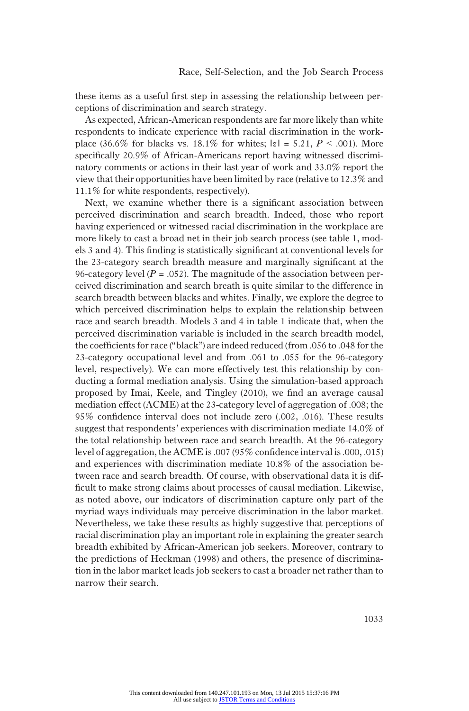these items as a useful first step in assessing the relationship between perceptions of discrimination and search strategy.

As expected, African-American respondents are far more likely than white respondents to indicate experience with racial discrimination in the workplace (36.6% for blacks vs. 18.1% for whites;  $|z| = 5.21$ ,  $P < .001$ ). More specifically 20.9% of African-Americans report having witnessed discriminatory comments or actions in their last year of work and 33.0% report the view that their opportunities have been limited by race (relative to 12.3% and 11.1% for white respondents, respectively).

Next, we examine whether there is a significant association between perceived discrimination and search breadth. Indeed, those who report having experienced or witnessed racial discrimination in the workplace are more likely to cast a broad net in their job search process (see table 1, models 3 and 4). This finding is statistically significant at conventional levels for the 23-category search breadth measure and marginally significant at the 96-category level ( $P = .052$ ). The magnitude of the association between perceived discrimination and search breath is quite similar to the difference in search breadth between blacks and whites. Finally, we explore the degree to which perceived discrimination helps to explain the relationship between race and search breadth. Models 3 and 4 in table 1 indicate that, when the perceived discrimination variable is included in the search breadth model, the coefficients for race ("black") are indeed reduced (from .056 to .048 for the 23-category occupational level and from .061 to .055 for the 96-category level, respectively). We can more effectively test this relationship by conducting a formal mediation analysis. Using the simulation-based approach proposed by Imai, Keele, and Tingley (2010), we find an average causal mediation effect (ACME) at the 23-category level of aggregation of .008; the 95% confidence interval does not include zero (.002, .016). These results suggest that respondents' experiences with discrimination mediate 14.0% of the total relationship between race and search breadth. At the 96-category level of aggregation, the ACME is .007 (95% confidence interval is .000, .015) and experiences with discrimination mediate 10.8% of the association between race and search breadth. Of course, with observational data it is difficult to make strong claims about processes of causal mediation. Likewise, as noted above, our indicators of discrimination capture only part of the myriad ways individuals may perceive discrimination in the labor market. Nevertheless, we take these results as highly suggestive that perceptions of racial discrimination play an important role in explaining the greater search breadth exhibited by African-American job seekers. Moreover, contrary to the predictions of Heckman (1998) and others, the presence of discrimination in the labor market leads job seekers to cast a broader net rather than to narrow their search.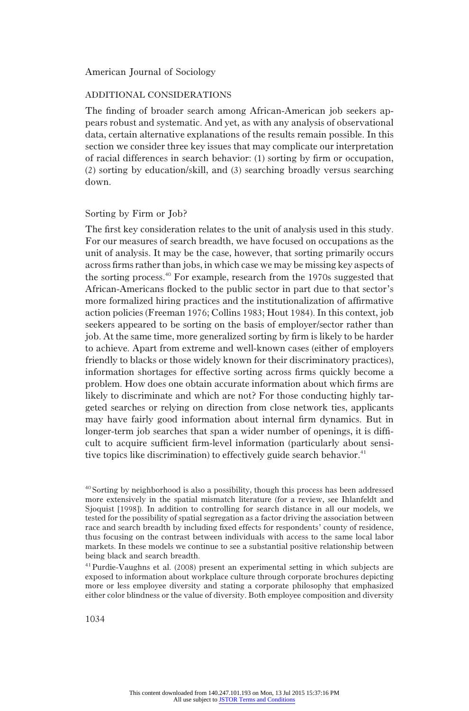# ADDITIONAL CONSIDERATIONS

The finding of broader search among African-American job seekers appears robust and systematic. And yet, as with any analysis of observational data, certain alternative explanations of the results remain possible. In this section we consider three key issues that may complicate our interpretation of racial differences in search behavior: (1) sorting by firm or occupation, (2) sorting by education/skill, and (3) searching broadly versus searching down.

### Sorting by Firm or Job?

The first key consideration relates to the unit of analysis used in this study. For our measures of search breadth, we have focused on occupations as the unit of analysis. It may be the case, however, that sorting primarily occurs across firms rather than jobs, in which case we may be missing key aspects of the sorting process.<sup>40</sup> For example, research from the 1970s suggested that African-Americans flocked to the public sector in part due to that sector's more formalized hiring practices and the institutionalization of affirmative action policies (Freeman 1976; Collins 1983; Hout 1984). In this context, job seekers appeared to be sorting on the basis of employer/sector rather than job. At the same time, more generalized sorting by firm is likely to be harder to achieve. Apart from extreme and well-known cases (either of employers friendly to blacks or those widely known for their discriminatory practices), information shortages for effective sorting across firms quickly become a problem. How does one obtain accurate information about which firms are likely to discriminate and which are not? For those conducting highly targeted searches or relying on direction from close network ties, applicants may have fairly good information about internal firm dynamics. But in longer-term job searches that span a wider number of openings, it is difficult to acquire sufficient firm-level information (particularly about sensitive topics like discrimination) to effectively guide search behavior. $41$ 

41Purdie-Vaughns et al. (2008) present an experimental setting in which subjects are exposed to information about workplace culture through corporate brochures depicting more or less employee diversity and stating a corporate philosophy that emphasized either color blindness or the value of diversity. Both employee composition and diversity

<sup>40</sup>Sorting by neighborhood is also a possibility, though this process has been addressed more extensively in the spatial mismatch literature (for a review, see Ihlanfeldt and Sjoquist [1998]). In addition to controlling for search distance in all our models, we tested for the possibility of spatial segregation as a factor driving the association between race and search breadth by including fixed effects for respondents' county of residence, thus focusing on the contrast between individuals with access to the same local labor markets. In these models we continue to see a substantial positive relationship between being black and search breadth.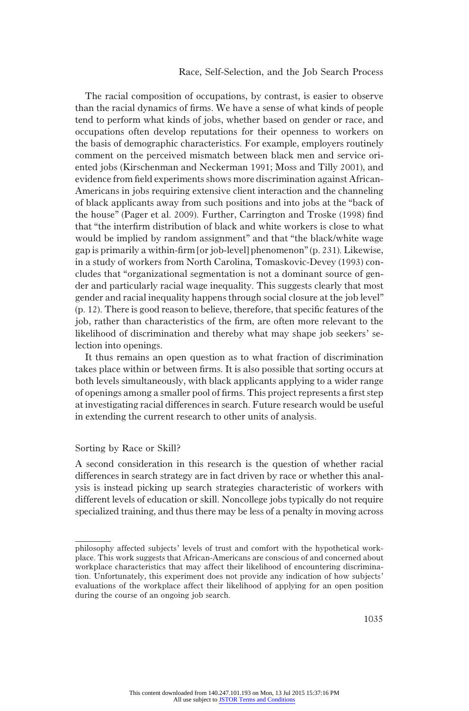# Race, Self-Selection, and the Job Search Process

The racial composition of occupations, by contrast, is easier to observe than the racial dynamics of firms. We have a sense of what kinds of people tend to perform what kinds of jobs, whether based on gender or race, and occupations often develop reputations for their openness to workers on the basis of demographic characteristics. For example, employers routinely comment on the perceived mismatch between black men and service oriented jobs (Kirschenman and Neckerman 1991; Moss and Tilly 2001), and evidence from field experiments shows more discrimination against African-Americans in jobs requiring extensive client interaction and the channeling of black applicants away from such positions and into jobs at the "back of the house" (Pager et al. 2009). Further, Carrington and Troske (1998) find that "the interfirm distribution of black and white workers is close to what would be implied by random assignment" and that "the black/white wage gap is primarily a within-firm [or job-level] phenomenon"(p. 231). Likewise, in a study of workers from North Carolina, Tomaskovic-Devey (1993) concludes that "organizational segmentation is not a dominant source of gender and particularly racial wage inequality. This suggests clearly that most gender and racial inequality happens through social closure at the job level" (p. 12). There is good reason to believe, therefore, that specific features of the job, rather than characteristics of the firm, are often more relevant to the likelihood of discrimination and thereby what may shape job seekers' selection into openings.

It thus remains an open question as to what fraction of discrimination takes place within or between firms. It is also possible that sorting occurs at both levels simultaneously, with black applicants applying to a wider range of openings among a smaller pool of firms. This project represents a first step at investigating racial differences in search. Future research would be useful in extending the current research to other units of analysis.

### Sorting by Race or Skill?

A second consideration in this research is the question of whether racial differences in search strategy are in fact driven by race or whether this analysis is instead picking up search strategies characteristic of workers with different levels of education or skill. Noncollege jobs typically do not require specialized training, and thus there may be less of a penalty in moving across

philosophy affected subjects' levels of trust and comfort with the hypothetical workplace. This work suggests that African-Americans are conscious of and concerned about workplace characteristics that may affect their likelihood of encountering discrimination. Unfortunately, this experiment does not provide any indication of how subjects' evaluations of the workplace affect their likelihood of applying for an open position during the course of an ongoing job search.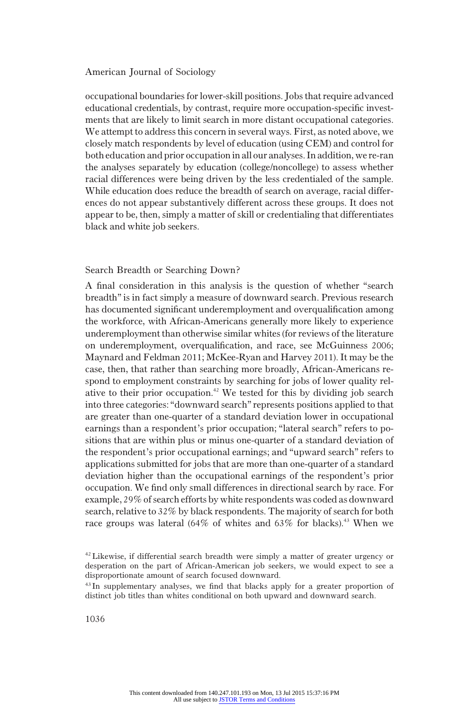occupational boundaries for lower-skill positions. Jobs that require advanced educational credentials, by contrast, require more occupation-specific investments that are likely to limit search in more distant occupational categories. We attempt to address this concern in several ways. First, as noted above, we closely match respondents by level of education (using CEM) and control for both education and prior occupation in all our analyses. In addition, we re-ran the analyses separately by education (college/noncollege) to assess whether racial differences were being driven by the less credentialed of the sample. While education does reduce the breadth of search on average, racial differences do not appear substantively different across these groups. It does not appear to be, then, simply a matter of skill or credentialing that differentiates black and white job seekers.

### Search Breadth or Searching Down?

A final consideration in this analysis is the question of whether "search breadth" is in fact simply a measure of downward search. Previous research has documented significant underemployment and overqualification among the workforce, with African-Americans generally more likely to experience underemployment than otherwise similar whites (for reviews of the literature on underemployment, overqualification, and race, see McGuinness 2006; Maynard and Feldman 2011; McKee-Ryan and Harvey 2011). It may be the case, then, that rather than searching more broadly, African-Americans respond to employment constraints by searching for jobs of lower quality relative to their prior occupation.<sup>42</sup> We tested for this by dividing job search into three categories:"downward search" represents positions applied to that are greater than one-quarter of a standard deviation lower in occupational earnings than a respondent's prior occupation; "lateral search" refers to positions that are within plus or minus one-quarter of a standard deviation of the respondent's prior occupational earnings; and "upward search" refers to applications submitted for jobs that are more than one-quarter of a standard deviation higher than the occupational earnings of the respondent's prior occupation. We find only small differences in directional search by race. For example, 29% of search efforts by white respondents was coded as downward search, relative to 32% by black respondents. The majority of search for both race groups was lateral (64% of whites and 63% for blacks).<sup>43</sup> When we

<sup>&</sup>lt;sup>42</sup> Likewise, if differential search breadth were simply a matter of greater urgency or desperation on the part of African-American job seekers, we would expect to see a disproportionate amount of search focused downward.

<sup>&</sup>lt;sup>43</sup> In supplementary analyses, we find that blacks apply for a greater proportion of distinct job titles than whites conditional on both upward and downward search.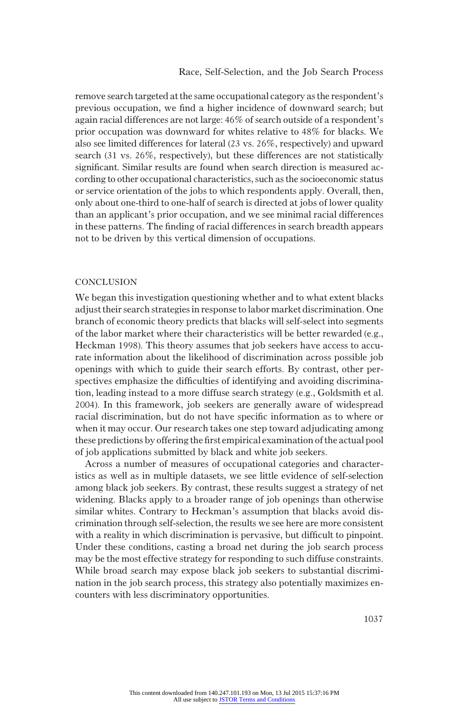remove search targeted at the same occupational category as the respondent's previous occupation, we find a higher incidence of downward search; but again racial differences are not large: 46% of search outside of a respondent's prior occupation was downward for whites relative to 48% for blacks. We also see limited differences for lateral (23 vs. 26%, respectively) and upward search (31 vs. 26%, respectively), but these differences are not statistically significant. Similar results are found when search direction is measured according to other occupational characteristics, such as the socioeconomic status or service orientation of the jobs to which respondents apply. Overall, then, only about one-third to one-half of search is directed at jobs of lower quality than an applicant's prior occupation, and we see minimal racial differences in these patterns. The finding of racial differences in search breadth appears not to be driven by this vertical dimension of occupations.

#### **CONCLUSION**

We began this investigation questioning whether and to what extent blacks adjust their search strategies in response to labor market discrimination. One branch of economic theory predicts that blacks will self-select into segments of the labor market where their characteristics will be better rewarded (e.g., Heckman 1998). This theory assumes that job seekers have access to accurate information about the likelihood of discrimination across possible job openings with which to guide their search efforts. By contrast, other perspectives emphasize the difficulties of identifying and avoiding discrimination, leading instead to a more diffuse search strategy (e.g., Goldsmith et al. 2004). In this framework, job seekers are generally aware of widespread racial discrimination, but do not have specific information as to where or when it may occur. Our research takes one step toward adjudicating among these predictions by offering the first empirical examination of the actual pool of job applications submitted by black and white job seekers.

Across a number of measures of occupational categories and characteristics as well as in multiple datasets, we see little evidence of self-selection among black job seekers. By contrast, these results suggest a strategy of net widening. Blacks apply to a broader range of job openings than otherwise similar whites. Contrary to Heckman's assumption that blacks avoid discrimination through self-selection, the results we see here are more consistent with a reality in which discrimination is pervasive, but difficult to pinpoint. Under these conditions, casting a broad net during the job search process may be the most effective strategy for responding to such diffuse constraints. While broad search may expose black job seekers to substantial discrimination in the job search process, this strategy also potentially maximizes encounters with less discriminatory opportunities.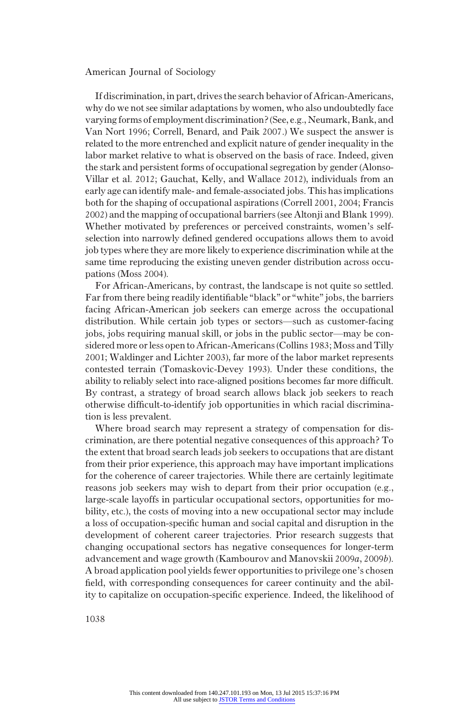If discrimination, in part, drives the search behavior of African-Americans, why do we not see similar adaptations by women, who also undoubtedly face varying forms of employment discrimination? (See, e.g., Neumark, Bank, and Van Nort 1996; Correll, Benard, and Paik 2007.) We suspect the answer is related to the more entrenched and explicit nature of gender inequality in the labor market relative to what is observed on the basis of race. Indeed, given the stark and persistent forms of occupational segregation by gender (Alonso-Villar et al. 2012; Gauchat, Kelly, and Wallace 2012), individuals from an early age can identify male- and female-associated jobs. This has implications both for the shaping of occupational aspirations (Correll 2001, 2004; Francis 2002) and the mapping of occupational barriers (see Altonji and Blank 1999). Whether motivated by preferences or perceived constraints, women's selfselection into narrowly defined gendered occupations allows them to avoid job types where they are more likely to experience discrimination while at the same time reproducing the existing uneven gender distribution across occupations (Moss 2004).

For African-Americans, by contrast, the landscape is not quite so settled. Far from there being readily identifiable "black" or "white" jobs, the barriers facing African-American job seekers can emerge across the occupational distribution. While certain job types or sectors—such as customer-facing jobs, jobs requiring manual skill, or jobs in the public sector—may be considered more or less open to African-Americans (Collins 1983; Moss and Tilly 2001; Waldinger and Lichter 2003), far more of the labor market represents contested terrain (Tomaskovic-Devey 1993). Under these conditions, the ability to reliably select into race-aligned positions becomes far more difficult. By contrast, a strategy of broad search allows black job seekers to reach otherwise difficult-to-identify job opportunities in which racial discrimination is less prevalent.

Where broad search may represent a strategy of compensation for discrimination, are there potential negative consequences of this approach? To the extent that broad search leads job seekers to occupations that are distant from their prior experience, this approach may have important implications for the coherence of career trajectories. While there are certainly legitimate reasons job seekers may wish to depart from their prior occupation (e.g., large-scale layoffs in particular occupational sectors, opportunities for mobility, etc.), the costs of moving into a new occupational sector may include a loss of occupation-specific human and social capital and disruption in the development of coherent career trajectories. Prior research suggests that changing occupational sectors has negative consequences for longer-term advancement and wage growth (Kambourov and Manovskii 2009a, 2009b). A broad application pool yields fewer opportunities to privilege one's chosen field, with corresponding consequences for career continuity and the ability to capitalize on occupation-specific experience. Indeed, the likelihood of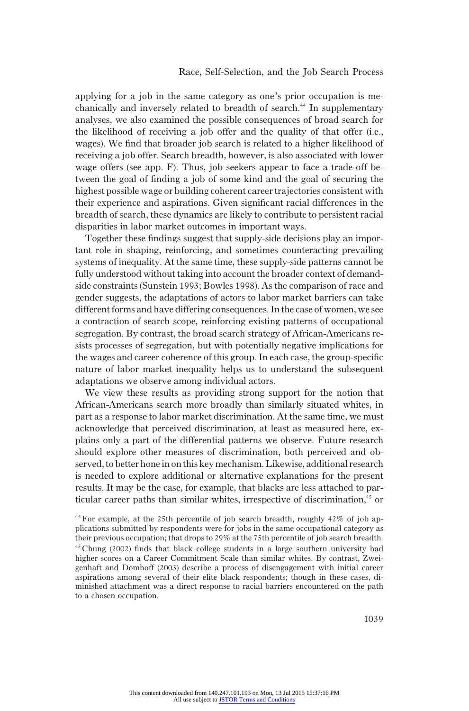applying for a job in the same category as one's prior occupation is mechanically and inversely related to breadth of search.<sup>44</sup> In supplementary analyses, we also examined the possible consequences of broad search for the likelihood of receiving a job offer and the quality of that offer (i.e., wages). We find that broader job search is related to a higher likelihood of receiving a job offer. Search breadth, however, is also associated with lower wage offers (see app. F). Thus, job seekers appear to face a trade-off between the goal of finding a job of some kind and the goal of securing the highest possible wage or building coherent career trajectories consistent with their experience and aspirations. Given significant racial differences in the breadth of search, these dynamics are likely to contribute to persistent racial disparities in labor market outcomes in important ways.

Together these findings suggest that supply-side decisions play an important role in shaping, reinforcing, and sometimes counteracting prevailing systems of inequality. At the same time, these supply-side patterns cannot be fully understood without taking into account the broader context of demandside constraints (Sunstein 1993; Bowles 1998). As the comparison of race and gender suggests, the adaptations of actors to labor market barriers can take different forms and have differing consequences. In the case of women, we see a contraction of search scope, reinforcing existing patterns of occupational segregation. By contrast, the broad search strategy of African-Americans resists processes of segregation, but with potentially negative implications for the wages and career coherence of this group. In each case, the group-specific nature of labor market inequality helps us to understand the subsequent adaptations we observe among individual actors.

We view these results as providing strong support for the notion that African-Americans search more broadly than similarly situated whites, in part as a response to labor market discrimination. At the same time, we must acknowledge that perceived discrimination, at least as measured here, explains only a part of the differential patterns we observe. Future research should explore other measures of discrimination, both perceived and observed, to better hone in on this key mechanism. Likewise, additional research is needed to explore additional or alternative explanations for the present results. It may be the case, for example, that blacks are less attached to particular career paths than similar whites, irrespective of discrimination.<sup>45</sup> or

<sup>44</sup>For example, at the 25th percentile of job search breadth, roughly 42% of job applications submitted by respondents were for jobs in the same occupational category as their previous occupation; that drops to 29% at the 75th percentile of job search breadth. 45Chung (2002) finds that black college students in a large southern university had higher scores on a Career Commitment Scale than similar whites. By contrast, Zweigenhaft and Domhoff (2003) describe a process of disengagement with initial career aspirations among several of their elite black respondents; though in these cases, diminished attachment was a direct response to racial barriers encountered on the path to a chosen occupation.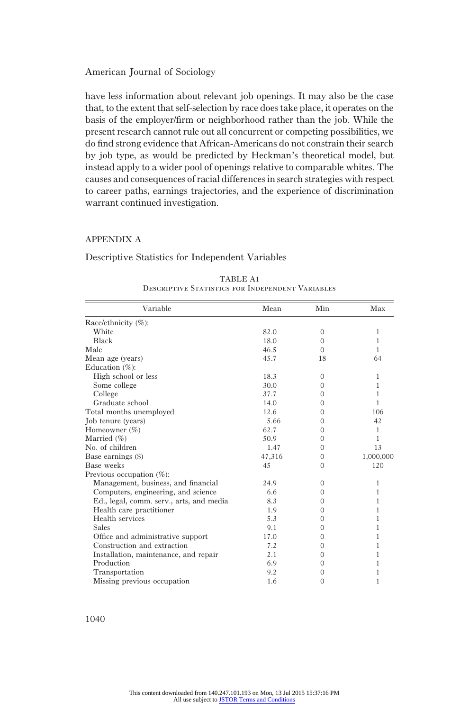have less information about relevant job openings. It may also be the case that, to the extent that self-selection by race does take place, it operates on the basis of the employer/firm or neighborhood rather than the job. While the present research cannot rule out all concurrent or competing possibilities, we do find strong evidence that African-Americans do not constrain their search by job type, as would be predicted by Heckman's theoretical model, but instead apply to a wider pool of openings relative to comparable whites. The causes and consequences of racial differences in search strategies with respect to career paths, earnings trajectories, and the experience of discrimination warrant continued investigation.

#### APPENDIX A

#### Descriptive Statistics for Independent Variables

| Variable                                 | Mean   | Min          | Max          |
|------------------------------------------|--------|--------------|--------------|
| Race/ethnicity (%):                      |        |              |              |
| White                                    | 82.0   | $\mathbf{0}$ | $\mathbf{1}$ |
| Black                                    | 18.0   | $\mathbf{0}$ | $\mathbf{1}$ |
| Male                                     | 46.5   | $\Omega$     | 1            |
| Mean age (years)                         | 45.7   | 18           | 64           |
| Education $(\%)$ :                       |        |              |              |
| High school or less                      | 18.3   | $\Omega$     | 1            |
| Some college                             | 30.0   | 0            | 1            |
| College                                  | 37.7   | $\Omega$     | 1            |
| Graduate school                          | 14.0   | $\Omega$     | 1            |
| Total months unemployed                  | 12.6   | $\Omega$     | 106          |
| Job tenure (years)                       | 5.66   | $\Omega$     | 42           |
| Homeowner (%)                            | 62.7   | $\Omega$     | $\mathbf{1}$ |
| Married $(\%)$                           | 50.9   | $\Omega$     | 1            |
| No. of children                          | 1.47   | $\Omega$     | 13           |
| Base earnings (\$)                       | 47,316 | $\mathbf{0}$ | 1,000,000    |
| Base weeks                               | 45     | $\Omega$     | 120          |
| Previous occupation $(\%)$ :             |        |              |              |
| Management, business, and financial      | 24.9   | $\Omega$     | 1            |
| Computers, engineering, and science      | 6.6    | $\Omega$     | 1            |
| Ed., legal, comm. serv., arts, and media | 8.3    | 0            | 1            |
| Health care practitioner                 | 1.9    | $\Omega$     | 1            |
| Health services                          | 5.3    | $\Omega$     | 1            |
| <b>Sales</b>                             | 9.1    | 0            | 1            |
| Office and administrative support        | 17.0   | $\Omega$     | 1            |
| Construction and extraction              | 7.2    | $\Omega$     | 1            |
| Installation, maintenance, and repair    | 2.1    | $\Omega$     | 1            |
| Production                               | 6.9    | $\Omega$     | 1            |
| Transportation                           | 9.2    | 0            | 1            |
| Missing previous occupation              | 1.6    | $\Omega$     | 1            |

| TABLE A1                                         |  |
|--------------------------------------------------|--|
| DESCRIPTIVE STATISTICS FOR INDEPENDENT VARIABLES |  |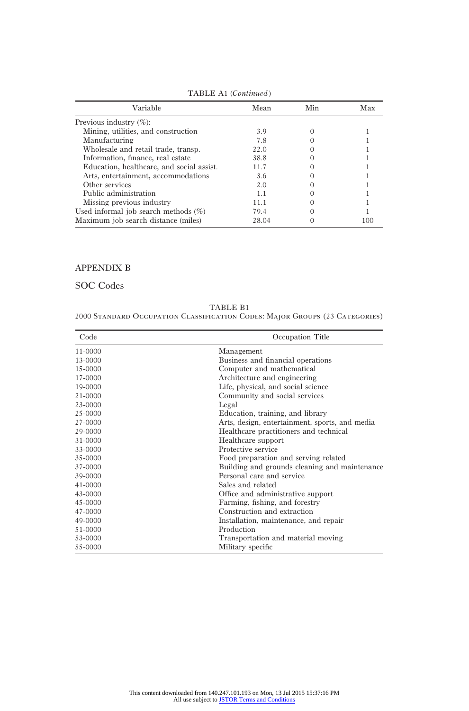| Variable                                  | Mean  | Min | Max |
|-------------------------------------------|-------|-----|-----|
| Previous industry $(\%)$ :                |       |     |     |
| Mining, utilities, and construction       | 3.9   |     |     |
| Manufacturing                             | 7.8   |     |     |
| Wholesale and retail trade, transp.       | 22.0  |     |     |
| Information, finance, real estate         | 38.8  |     |     |
| Education, healthcare, and social assist. | 11.7  |     |     |
| Arts, entertainment, accommodations       | 3.6   |     |     |
| Other services                            | 2.0   |     |     |
| Public administration                     | 11    |     |     |
| Missing previous industry                 | 11 1  |     |     |
| Used informal job search methods $(\%)$   | 79.4  |     |     |
| Maximum job search distance (miles)       | 28.04 |     | 100 |

TABLE A1 (Continued)

# APPENDIX B

SOC Codes

TABLE B1

2000 Standard Occupation Classification Codes: Major Groups (23 Categories)

| Code        | Occupation Title                               |
|-------------|------------------------------------------------|
| 11-0000     | Management                                     |
| 13-0000     | Business and financial operations              |
| $15 - 0000$ | Computer and mathematical                      |
| 17-0000     | Architecture and engineering                   |
| 19-0000     | Life, physical, and social science             |
| 21-0000     | Community and social services                  |
| 23-0000     | Legal                                          |
| 25-0000     | Education, training, and library               |
| 27-0000     | Arts, design, entertainment, sports, and media |
| 29-0000     | Healthcare practitioners and technical         |
| 31-0000     | Healthcare support                             |
| 33-0000     | Protective service                             |
| 35-0000     | Food preparation and serving related           |
| 37-0000     | Building and grounds cleaning and maintenance  |
| 39-0000     | Personal care and service                      |
| $41 - 0000$ | Sales and related                              |
| 43-0000     | Office and administrative support              |
| 45-0000     | Farming, fishing, and forestry                 |
| 47-0000     | Construction and extraction                    |
| 49-0000     | Installation, maintenance, and repair          |
| 51-0000     | Production                                     |
| 53-0000     | Transportation and material moving             |
| 55-0000     | Military specific                              |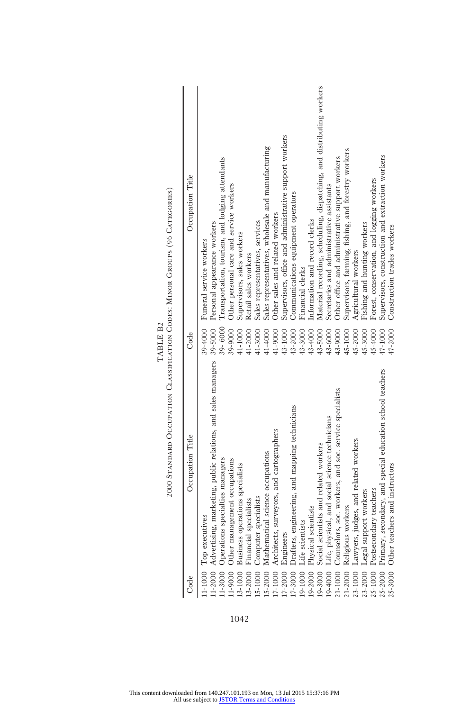| 1-2000 Advertising, marketing, public relations, and sales managers<br>condary, and special education school teachers<br>soc. workers, and soc. service specialists<br>Drafters, engineering, and mapping technicians<br>Life, physical, and social science technicians<br>Counselors, soc. workers, and soc. service sp<br>17-1000 Architects, surveyors, and cartographers<br>Occupation Title<br>Lawyers, judges, and related workers<br>Physical scientists<br>Social scientists and related workers<br>Mathematical science occupations<br>Operations specialties managers<br>Other management occupations<br>Other teachers and instructors<br>Business operations specialists<br>Postsecondary teachers<br>Legal support workers<br>Computer specialists<br>Financial specialists<br>Religious workers<br>Top executives<br>Life scientists<br>Primary, se<br>Engineers<br>15-1000<br>$7 - 3000$<br>19-1000<br>9-2000<br>21-2000<br>3-1000<br>$5 - 2000$<br>$17 - 2000$<br>194000<br>23-1000<br>$3 - 2000$<br>23-2000<br>19-3000<br>21-1000<br>1-9000<br>25-1000<br>$1 - 3000$<br>25-2000<br>25-3000<br>1-1000<br>Code |  | 39-6000<br>39-9000<br>43-4000<br>43-5000<br>43-6000<br>41-9000<br>43-3000<br>43-9000<br>45-4000<br>47-1000<br>47-2000<br>41-1000<br>41-2000<br>41-3000<br>41-4000<br>43-1000<br>43-2000<br>45-1000<br>45-2000<br>45-3000<br>Code | Material recording, scheduling, dispatching, and distributing workers<br>Supervisors, office and administrative support workers<br>Sales representatives, wholesale and manufacturing<br>Supervisors, farming, fishing, and forestry workers<br>Supervisors, construction and extraction workers<br>Other office and administrative support workers<br>Transportation, tourism, and lodging attendants<br>Occupation Title<br>Forest, conservation, and logging workers<br>Other personal care and service workers<br>Secretaries and administrative assistants<br>Communications equipment operators<br>Other sales and related workers<br>Information and record clerks<br>Sales representatives, services<br>39-5000 Personal appearance workers<br>Fishing and hunting workers<br>Construction trades workers<br>Supervisors, sales workers<br>39-4000 Funeral service workers<br>Agricultural workers<br>Retail sales workers<br>Financial clerks |
|-------------------------------------------------------------------------------------------------------------------------------------------------------------------------------------------------------------------------------------------------------------------------------------------------------------------------------------------------------------------------------------------------------------------------------------------------------------------------------------------------------------------------------------------------------------------------------------------------------------------------------------------------------------------------------------------------------------------------------------------------------------------------------------------------------------------------------------------------------------------------------------------------------------------------------------------------------------------------------------------------------------------------------------------------------------------------------------------------------------------------------|--|----------------------------------------------------------------------------------------------------------------------------------------------------------------------------------------------------------------------------------|--------------------------------------------------------------------------------------------------------------------------------------------------------------------------------------------------------------------------------------------------------------------------------------------------------------------------------------------------------------------------------------------------------------------------------------------------------------------------------------------------------------------------------------------------------------------------------------------------------------------------------------------------------------------------------------------------------------------------------------------------------------------------------------------------------------------------------------------------------------------------------------------------------------------------------------------------------|
|-------------------------------------------------------------------------------------------------------------------------------------------------------------------------------------------------------------------------------------------------------------------------------------------------------------------------------------------------------------------------------------------------------------------------------------------------------------------------------------------------------------------------------------------------------------------------------------------------------------------------------------------------------------------------------------------------------------------------------------------------------------------------------------------------------------------------------------------------------------------------------------------------------------------------------------------------------------------------------------------------------------------------------------------------------------------------------------------------------------------------------|--|----------------------------------------------------------------------------------------------------------------------------------------------------------------------------------------------------------------------------------|--------------------------------------------------------------------------------------------------------------------------------------------------------------------------------------------------------------------------------------------------------------------------------------------------------------------------------------------------------------------------------------------------------------------------------------------------------------------------------------------------------------------------------------------------------------------------------------------------------------------------------------------------------------------------------------------------------------------------------------------------------------------------------------------------------------------------------------------------------------------------------------------------------------------------------------------------------|

2000 Standard Occupation Classification Codes: Minor Groups (96 Categories) TABLE B2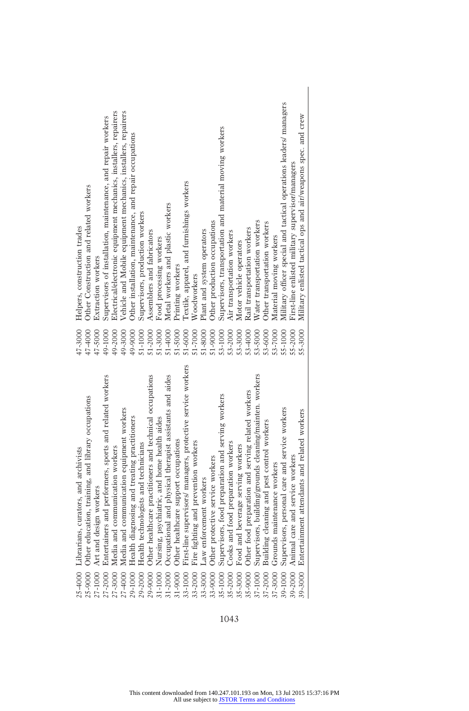|         | 25-4000 Librarians, curators, and archivists                 | 47-3000    | Helpers, construction trades                                       |
|---------|--------------------------------------------------------------|------------|--------------------------------------------------------------------|
|         | 25-9000 Other education, training, and library occupations   | 47-4000    | Other Construction and related workers                             |
| 27-1000 | Art and design workers                                       | 47-5000    | Extraction workers                                                 |
| 27-2000 | Entertainers and performers, sports and related workers      | 49-1000    | Supervisors of installation, maintenance, and repair workers       |
| 27-3000 | Media and communication workers                              | 49-2000    | Electrical/electronic equipment mechanics, installers, repairers   |
| 27-4000 | Media and communication equipment workers                    | 49-3000    | Vehicle and Mobile equipment mechanics, installers, repairers      |
| 29-1000 | Health diagnosing and treating practitioners                 | 49-9000    | Other installation, maintenance, and repair occupations            |
| 29-2000 | Health technologists and technicians                         | 51-1000    | Supervisors, production workers                                    |
| 29-9000 | Other healthcare practitioners and technical occupations     | 51-2000    | Assemblers and fabricators                                         |
| 31-1000 | Nursing, psychiatric, and home health aides                  | 51-3000    | Food processing workers                                            |
| 31-2000 | Occupational and physical therapist assistants and aides     | 51-4000    | Metal workers and plastic workers                                  |
| 31-9000 | Other healthcare support occupations                         | 51-5000    | Printing workers                                                   |
| 33-1000 | First-line supervisors/ managers, protective service workers | 51-6000    | Textile, apparel, and furnishings workers                          |
| 33-2000 | Fire fighting and prevention workers                         | 51-7000    | Woodworkers                                                        |
| 33-3000 | Law enforcement workers                                      | 51-8000    | Plant and system operators                                         |
| 33-9000 | Other protective service workers                             | 51-9000    | Other production occupations                                       |
| 35-1000 | Supervisors, food preparation and serving workers            | 53-1000    | Supervisors, transportation and material moving workers            |
| 35-2000 | Cooks and food preparation workers                           | 53-2000    | Air transportation workers                                         |
| 35-3000 | Food and beverage serving workers                            | 53-3000    | Motor vehicle operators                                            |
| 35-9000 | Other food preparation and serving related workers           | 53-4000    | Rail transportation workers                                        |
| 37-1000 | Supervisors, building/grounds cleaning/mainten. workers      | 53-5000    | Water transportation workers                                       |
| 37-2000 | Building cleaning and pest control workers                   | 53-6000    | Other transportation workers                                       |
| 37-3000 | Grounds maintenance workers                                  | 53-7000    | Material moving workers                                            |
| 39-1000 | Supervisors, personal care and service workers               | 55-1000    | Military officer special and tactical operations leaders/ managers |
| 39-2000 | Animal care and service workers                              | $5 - 2000$ | First-line enlisted military supervisor/managers                   |
| 39-3000 | Entertainment attendants and related workers                 | 55-3000    | Military enlisted tactical ops and air/weapons spec. and crew      |
|         |                                                              |            |                                                                    |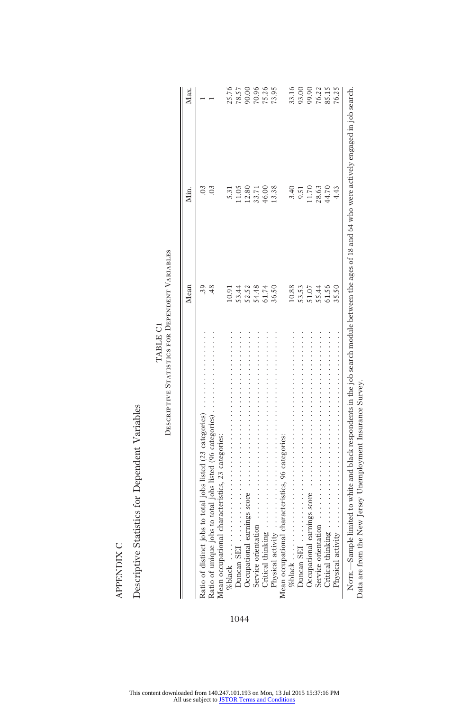|                                                                   | Mean                                                | Min.                    | Max.                                      |
|-------------------------------------------------------------------|-----------------------------------------------------|-------------------------|-------------------------------------------|
| Ratio of distinct jobs to total jobs listed (23 categories)       | 39                                                  | 03                      |                                           |
| Ratio of unique jobs to total jobs listed (96 categories)         |                                                     | 03                      |                                           |
| Mean occupational characteristics, 23 categories:                 |                                                     |                         |                                           |
| %black $\ldots$                                                   | 10.91                                               | 5.31                    |                                           |
| ナイト・イント イント・イント・イント・イント イント・イント イント・イント イント・イント・イント<br>Duncan SEI |                                                     | 11.05                   | 25.76<br>78.57<br>78.90<br>75.25<br>73.95 |
|                                                                   |                                                     |                         |                                           |
| Service orientation                                               | $53.44$<br>$53.48$<br>$54.74$<br>$54.74$<br>$54.74$ | 12.80<br>33.71<br>46.00 |                                           |
| Critical thinking.                                                |                                                     |                         |                                           |
| Physical activity                                                 | 36.50                                               | 13.38                   |                                           |
| Mean occupational characteristics, 96 categories:                 |                                                     |                         |                                           |
| % $black \ldots \ldots$                                           | 10.88                                               | 3.40                    | 33.16                                     |
| Duncan SEI                                                        | 53.53                                               | 9.51                    | 93.00                                     |
| Occupational earnings score                                       | 51.07                                               | 11.70                   |                                           |
| Service orientation                                               | 55.44                                               | 28.63                   |                                           |
| $\mbox{Critical thinking}$ .                                      | 61.56                                               | 44.70                   | 90.315<br>76.115<br>76.25                 |
| Physical activity                                                 | 35.50                                               | 4.43                    |                                           |

Data are from the New Jersey Unemployment Insurance Survey. Data are from the New Jersey Unemployment Insurance Survey.

Descriptive Statistics for Dependent Variables Descriptive Statistics for Dependent Variables  ${\sf APENDIX}$  C

APPENDIX C

TABLE C1 TABLE C1

Descriptive Statistics for Dependent Variables

DESCRIPTIVE STATISTICS FOR DEPENDENT VARIABLES

# This content downloaded from 140.247.101.193 on Mon, 13 Jul 2015 15:37:16 PM All use subject to [JSTOR Terms and Conditions](http://www.jstor.org/page/info/about/policies/terms.jsp)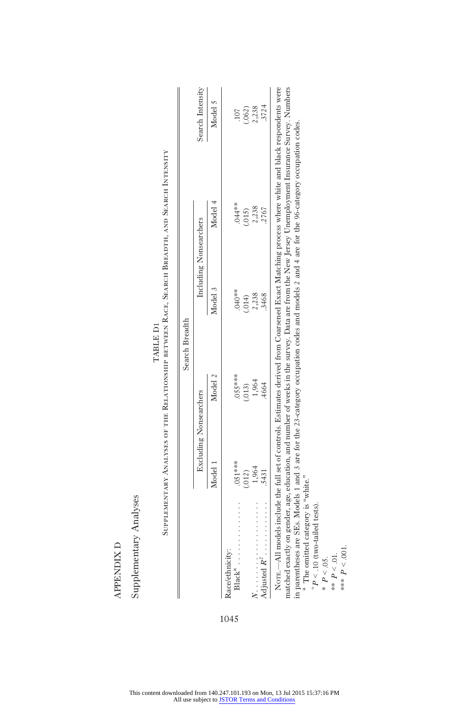|                             |         | Search Breadth         |         |                        |                     |
|-----------------------------|---------|------------------------|---------|------------------------|---------------------|
|                             |         | Excluding Nonsearchers |         | Including Nonsearchers | Search Intensity    |
|                             | Model 1 | Model 2                | Model 3 | Model 4                | Model 5             |
| Race/ethnicity:<br>$Blacka$ | 051**** | $055***$               | .040**  | $.044**$               | 107                 |
|                             | .012)   | (.013)                 | (114)   | (.015)                 |                     |
|                             | 1,964   | 1,964                  | 2,238   | 2,238                  | $(.062)$<br>$2,238$ |
| $\lambda$ djusted $R^2$     | .5431   | 4664                   | 3468    | .2767                  | 3724                |

SUPPLEMENTARY ANALYSES OF THE RELATIONSHIP BETWEEN RACE, SEARCH BREADTH, AND SEARCH INTENSITY Supplementary Analyses of the Relationship between Race, Search Breadth, and Search Intensity TABLE DI TABLE D1

in parentheses are SEs. Models 1 and 3 are for the 23-category occupation codes and models 2 and 4 are for the 96-category occupation codes. in parentheses are SEs. Models 1 and 3 are for the 23-category occupation codes and models 2 and 4 are for the 96-category occupation codes. <sup>a</sup> The omitted category is "white." The omitted category is "white."

 $^{+}P<.10$  (two-tailed tests).  $P < 10$  (two-tailed tests).

\*  $P < 0.05$ .<br>\*\*  $P < 0.1$ .  $P < 0.05$ .

\*\*  $P < 01$ .

\*\*\*  $P < 0.01$ . \*\*\*  $P < 0.01$ .

**APPENDIX D** APPENDIX D

Supplementary Analyses Supplementary Analyses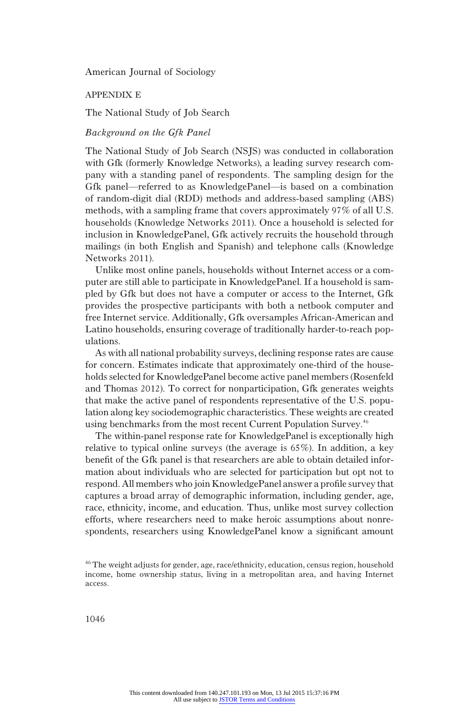APPENDIX E

The National Study of Job Search

#### Background on the Gfk Panel

The National Study of Job Search (NSJS) was conducted in collaboration with Gfk (formerly Knowledge Networks), a leading survey research company with a standing panel of respondents. The sampling design for the Gfk panel—referred to as KnowledgePanel—is based on a combination of random-digit dial (RDD) methods and address-based sampling (ABS) methods, with a sampling frame that covers approximately 97% of all U.S. households (Knowledge Networks 2011). Once a household is selected for inclusion in KnowledgePanel, Gfk actively recruits the household through mailings (in both English and Spanish) and telephone calls (Knowledge Networks 2011).

Unlike most online panels, households without Internet access or a computer are still able to participate in KnowledgePanel. If a household is sampled by Gfk but does not have a computer or access to the Internet, Gfk provides the prospective participants with both a netbook computer and free Internet service. Additionally, Gfk oversamples African-American and Latino households, ensuring coverage of traditionally harder-to-reach populations.

As with all national probability surveys, declining response rates are cause for concern. Estimates indicate that approximately one-third of the households selected for KnowledgePanel become active panel members (Rosenfeld and Thomas 2012). To correct for nonparticipation, Gfk generates weights that make the active panel of respondents representative of the U.S. population along key sociodemographic characteristics. These weights are created using benchmarks from the most recent Current Population Survey.<sup>46</sup>

The within-panel response rate for KnowledgePanel is exceptionally high relative to typical online surveys (the average is 65%). In addition, a key benefit of the Gfk panel is that researchers are able to obtain detailed information about individuals who are selected for participation but opt not to respond. All members who join KnowledgePanel answer a profile survey that captures a broad array of demographic information, including gender, age, race, ethnicity, income, and education. Thus, unlike most survey collection efforts, where researchers need to make heroic assumptions about nonrespondents, researchers using KnowledgePanel know a significant amount

<sup>46</sup>The weight adjusts for gender, age, race/ethnicity, education, census region, household income, home ownership status, living in a metropolitan area, and having Internet access.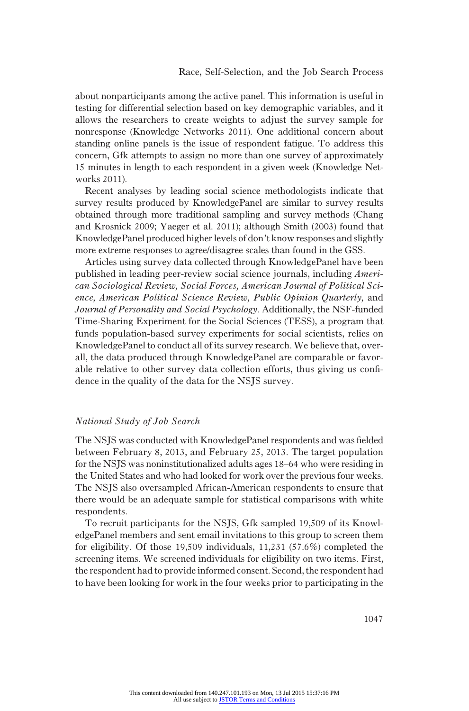about nonparticipants among the active panel. This information is useful in testing for differential selection based on key demographic variables, and it allows the researchers to create weights to adjust the survey sample for nonresponse (Knowledge Networks 2011). One additional concern about standing online panels is the issue of respondent fatigue. To address this concern, Gfk attempts to assign no more than one survey of approximately 15 minutes in length to each respondent in a given week (Knowledge Networks 2011).

Recent analyses by leading social science methodologists indicate that survey results produced by KnowledgePanel are similar to survey results obtained through more traditional sampling and survey methods (Chang and Krosnick 2009; Yaeger et al. 2011); although Smith (2003) found that KnowledgePanel produced higher levels of don't know responses and slightly more extreme responses to agree/disagree scales than found in the GSS.

Articles using survey data collected through KnowledgePanel have been published in leading peer-review social science journals, including American Sociological Review, Social Forces, American Journal of Political Science, American Political Science Review, Public Opinion Quarterly, and Journal of Personality and Social Psychology. Additionally, the NSF-funded Time-Sharing Experiment for the Social Sciences (TESS), a program that funds population-based survey experiments for social scientists, relies on KnowledgePanel to conduct all of its survey research. We believe that, overall, the data produced through KnowledgePanel are comparable or favorable relative to other survey data collection efforts, thus giving us confidence in the quality of the data for the NSJS survey.

#### National Study of Job Search

The NSJS was conducted with KnowledgePanel respondents and was fielded between February 8, 2013, and February 25, 2013. The target population for the NSJS was noninstitutionalized adults ages 18–64 who were residing in the United States and who had looked for work over the previous four weeks. The NSJS also oversampled African-American respondents to ensure that there would be an adequate sample for statistical comparisons with white respondents.

To recruit participants for the NSJS, Gfk sampled 19,509 of its KnowledgePanel members and sent email invitations to this group to screen them for eligibility. Of those 19,509 individuals, 11,231 (57.6%) completed the screening items. We screened individuals for eligibility on two items. First, the respondent had to provide informed consent. Second, the respondent had to have been looking for work in the four weeks prior to participating in the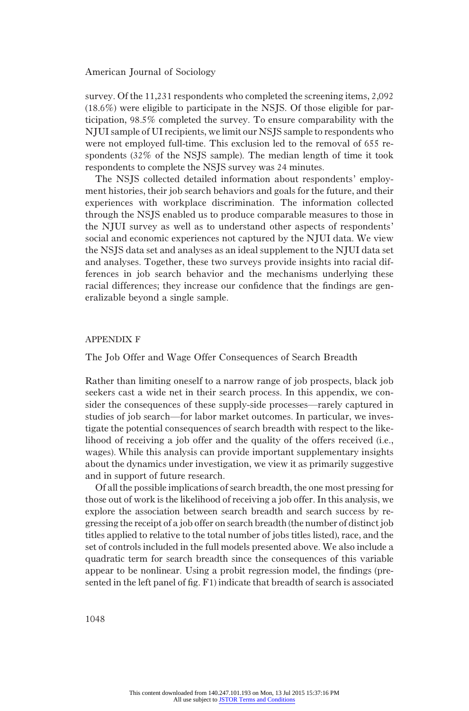survey. Of the 11,231 respondents who completed the screening items, 2,092 (18.6%) were eligible to participate in the NSJS. Of those eligible for participation, 98.5% completed the survey. To ensure comparability with the NJUI sample of UI recipients, we limit our NSJS sample to respondents who were not employed full-time. This exclusion led to the removal of 655 respondents (32% of the NSJS sample). The median length of time it took respondents to complete the NSJS survey was 24 minutes.

The NSJS collected detailed information about respondents' employment histories, their job search behaviors and goals for the future, and their experiences with workplace discrimination. The information collected through the NSJS enabled us to produce comparable measures to those in the NJUI survey as well as to understand other aspects of respondents' social and economic experiences not captured by the NJUI data. We view the NSJS data set and analyses as an ideal supplement to the NJUI data set and analyses. Together, these two surveys provide insights into racial differences in job search behavior and the mechanisms underlying these racial differences; they increase our confidence that the findings are generalizable beyond a single sample.

#### APPENDIX F

The Job Offer and Wage Offer Consequences of Search Breadth

Rather than limiting oneself to a narrow range of job prospects, black job seekers cast a wide net in their search process. In this appendix, we consider the consequences of these supply-side processes—rarely captured in studies of job search—for labor market outcomes. In particular, we investigate the potential consequences of search breadth with respect to the likelihood of receiving a job offer and the quality of the offers received (i.e., wages). While this analysis can provide important supplementary insights about the dynamics under investigation, we view it as primarily suggestive and in support of future research.

Of all the possible implications of search breadth, the one most pressing for those out of work is the likelihood of receiving a job offer. In this analysis, we explore the association between search breadth and search success by regressing the receipt of a job offer on search breadth (the number of distinct job titles applied to relative to the total number of jobs titles listed), race, and the set of controls included in the full models presented above. We also include a quadratic term for search breadth since the consequences of this variable appear to be nonlinear. Using a probit regression model, the findings (presented in the left panel of fig. F1) indicate that breadth of search is associated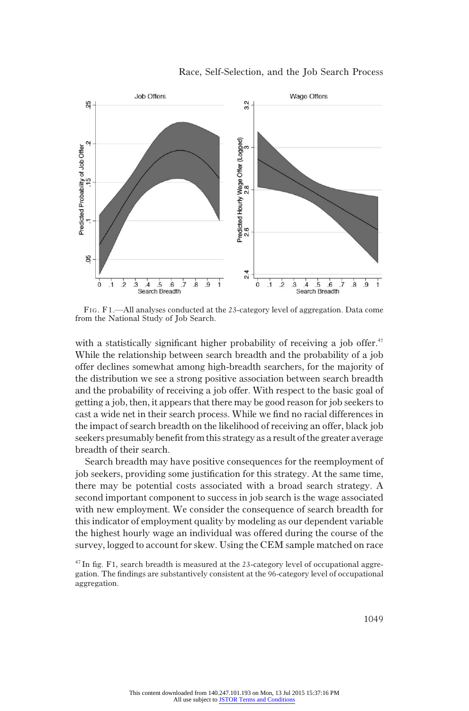



FIG. F1.—All analyses conducted at the 23-category level of aggregation. Data come from the National Study of Job Search.

with a statistically significant higher probability of receiving a job offer.<sup>47</sup> While the relationship between search breadth and the probability of a job offer declines somewhat among high-breadth searchers, for the majority of the distribution we see a strong positive association between search breadth and the probability of receiving a job offer. With respect to the basic goal of getting a job, then, it appears that there may be good reason for job seekers to cast a wide net in their search process. While we find no racial differences in the impact of search breadth on the likelihood of receiving an offer, black job seekers presumably benefit from this strategy as a result of the greater average breadth of their search.

Search breadth may have positive consequences for the reemployment of job seekers, providing some justification for this strategy. At the same time, there may be potential costs associated with a broad search strategy. A second important component to success in job search is the wage associated with new employment. We consider the consequence of search breadth for this indicator of employment quality by modeling as our dependent variable the highest hourly wage an individual was offered during the course of the survey, logged to account for skew. Using the CEM sample matched on race

 $47$  In fig. F1, search breadth is measured at the 23-category level of occupational aggregation. The findings are substantively consistent at the 96-category level of occupational aggregation.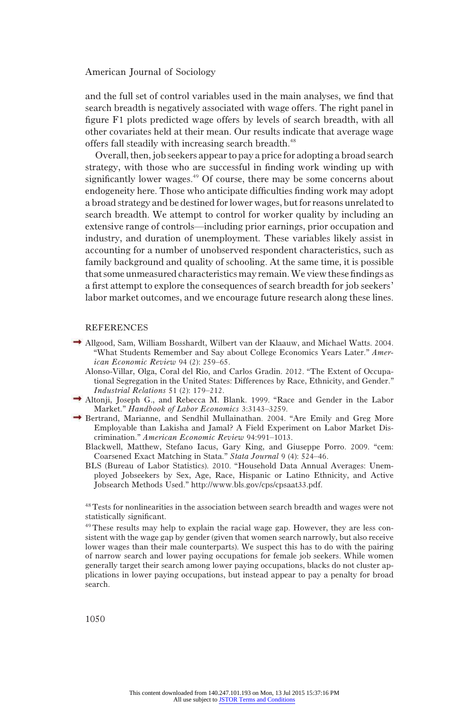and the full set of control variables used in the main analyses, we find that search breadth is negatively associated with wage offers. The right panel in figure F1 plots predicted wage offers by levels of search breadth, with all other covariates held at their mean. Our results indicate that average wage offers fall steadily with increasing search breadth.<sup>48</sup>

Overall, then, job seekers appear to pay a price for adopting a broad search strategy, with those who are successful in finding work winding up with significantly lower wages.<sup>49</sup> Of course, there may be some concerns about endogeneity here. Those who anticipate difficulties finding work may adopt a broad strategy and be destined for lower wages, but for reasons unrelated to search breadth. We attempt to control for worker quality by including an extensive range of controls—including prior earnings, prior occupation and industry, and duration of unemployment. These variables likely assist in accounting for a number of unobserved respondent characteristics, such as family background and quality of schooling. At the same time, it is possible that some unmeasured characteristics may remain.We view these findings as a first attempt to explore the consequences of search breadth for job seekers' labor market outcomes, and we encourage future research along these lines.

#### REFERENCES

- Allgood, Sam, William Bosshardt, Wilbert van der Klaauw, and Michael Watts. 2004. "What Students Remember and Say about College Economics Years Later." American Economic Review 94 (2): 259–65.
	- Alonso-Villar, Olga, Coral del Rio, and Carlos Gradin. 2012. "The Extent of Occupational Segregation in the United States: Differences by Race, Ethnicity, and Gender." Industrial Relations 51 (2): 179–212.
- Altonji, Joseph G., and Rebecca M. Blank. 1999. "Race and Gender in the Labor Market." Handbook of Labor Economics 3:3143–3259.
- Bertrand, Marianne, and Sendhil Mullainathan. 2004. "Are Emily and Greg More Employable than Lakisha and Jamal? A Field Experiment on Labor Market Discrimination." American Economic Review 94:991–1013.
	- Blackwell, Matthew, Stefano Iacus, Gary King, and Giuseppe Porro. 2009. "cem: Coarsened Exact Matching in Stata." Stata Journal 9 (4): 524–46.
	- BLS (Bureau of Labor Statistics). 2010. "Household Data Annual Averages: Unemployed Jobseekers by Sex, Age, Race, Hispanic or Latino Ethnicity, and Active Jobsearch Methods Used." http://www.bls.gov/cps/cpsaat33.pdf.

48Tests for nonlinearities in the association between search breadth and wages were not statistically significant.

49These results may help to explain the racial wage gap. However, they are less consistent with the wage gap by gender (given that women search narrowly, but also receive lower wages than their male counterparts). We suspect this has to do with the pairing of narrow search and lower paying occupations for female job seekers. While women generally target their search among lower paying occupations, blacks do not cluster applications in lower paying occupations, but instead appear to pay a penalty for broad search.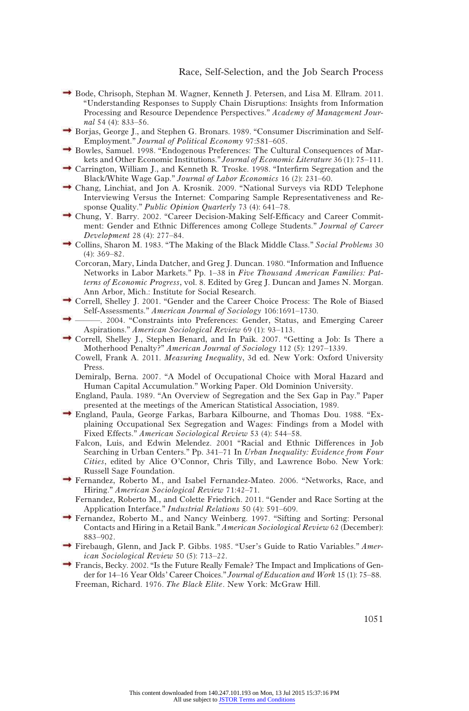- Bode, Chrisoph, Stephan M. Wagner, Kenneth J. Petersen, and Lisa M. Ellram. 2011. "Understanding Responses to Supply Chain Disruptions: Insights from Information Processing and Resource Dependence Perspectives." Academy of Management Journal 54 (4): 833–56.
- Borjas, George J., and Stephen G. Bronars. 1989. "Consumer Discrimination and Self-Employment." Journal of Political Economy 97:581–605.
- Bowles, Samuel. 1998. "Endogenous Preferences: The Cultural Consequences of Markets and Other Economic Institutions." Journal of Economic Literature 36 (1): 75–111.
- Carrington, William J., and Kenneth R. Troske. 1998. "Interfirm Segregation and the Black/White Wage Gap." Journal of Labor Economics 16 (2): 231–60.
- Chang, Linchiat, and Jon A. Krosnik. 2009. "National Surveys via RDD Telephone Interviewing Versus the Internet: Comparing Sample Representativeness and Response Quality." Public Opinion Quarterly 73 (4): 641-78.
- Chung, Y. Barry. 2002. "Career Decision-Making Self-Efficacy and Career Commitment: Gender and Ethnic Differences among College Students." Journal of Career Development 28 (4): 277–84.
- Collins, Sharon M. 1983. "The Making of the Black Middle Class." Social Problems 30 (4): 369–82.
	- Corcoran, Mary, Linda Datcher, and Greg J. Duncan. 1980. "Information and Influence Networks in Labor Markets." Pp. 1–38 in Five Thousand American Families: Patterns of Economic Progress, vol. 8. Edited by Greg J. Duncan and James N. Morgan. Ann Arbor, Mich.: Institute for Social Research.
- Correll, Shelley J. 2001. "Gender and the Career Choice Process: The Role of Biased Self-Assessments." American Journal of Sociology 106:1691–1730.
- ———. 2004. "Constraints into Preferences: Gender, Status, and Emerging Career Aspirations." American Sociological Review 69 (1): 93–113.
- $\rightarrow$  Correll, Shelley J., Stephen Benard, and In Paik. 2007. "Getting a Job: Is There a Motherhood Penalty?" American Journal of Sociology 112 (5): 1297–1339.
	- Cowell, Frank A. 2011. Measuring Inequality, 3d ed. New York: Oxford University Press.
	- Demiralp, Berna. 2007. "A Model of Occupational Choice with Moral Hazard and Human Capital Accumulation." Working Paper. Old Dominion University.
	- England, Paula. 1989. "An Overview of Segregation and the Sex Gap in Pay." Paper presented at the meetings of the American Statistical Association, 1989.
- England, Paula, George Farkas, Barbara Kilbourne, and Thomas Dou. 1988. "Explaining Occupational Sex Segregation and Wages: Findings from a Model with Fixed Effects." American Sociological Review 53 (4): 544–58.
	- Falcon, Luis, and Edwin Melendez. 2001 "Racial and Ethnic Differences in Job Searching in Urban Centers." Pp. 341–71 In Urban Inequality: Evidence from Four Cities, edited by Alice O'Connor, Chris Tilly, and Lawrence Bobo. New York: Russell Sage Foundation.
- Fernandez, Roberto M., and Isabel Fernandez-Mateo. 2006. "Networks, Race, and Hiring." American Sociological Review 71:42–71.
	- Fernandez, Roberto M., and Colette Friedrich. 2011. "Gender and Race Sorting at the Application Interface." Industrial Relations 50 (4): 591–609.
- Fernandez, Roberto M., and Nancy Weinberg. 1997. "Sifting and Sorting: Personal Contacts and Hiring in a Retail Bank." American Sociological Review 62 (December): 883–902.
- Firebaugh, Glenn, and Jack P. Gibbs. 1985. "User's Guide to Ratio Variables." American Sociological Review 50 (5): 713–22.
- Francis, Becky. 2002. "Is the Future Really Female? The Impact and Implications of Gender for 14–16 Year Olds' Career Choices." Journal of Education and Work 15 (1): 75–88. Freeman, Richard. 1976. The Black Elite. New York: McGraw Hill.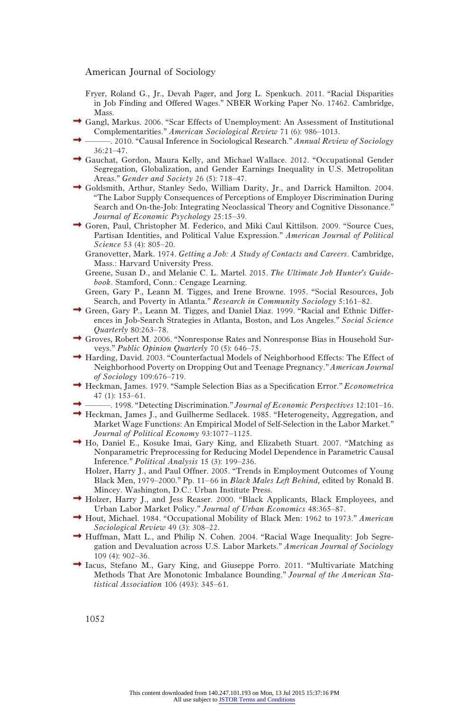Fryer, Roland G., Jr., Devah Pager, and Jorg L. Spenkuch. 2011. "Racial Disparities in Job Finding and Offered Wages." NBER Working Paper No. 17462. Cambridge, **Mass** 

- Gangl, Markus. 2006. "Scar Effects of Unemployment: An Assessment of Institutional Complementarities." American Sociological Review 71 (6): 986–1013.
	- -. 2010. "Causal Inference in Sociological Research." Annual Review of Sociology 36:21–47.
- Gauchat, Gordon, Maura Kelly, and Michael Wallace. 2012. "Occupational Gender Segregation, Globalization, and Gender Earnings Inequality in U.S. Metropolitan Areas." Gender and Society 26 (5): 718–47.
- Goldsmith, Arthur, Stanley Sedo, William Darity, Jr., and Darrick Hamilton. 2004. "The Labor Supply Consequences of Perceptions of Employer Discrimination During Search and On-the-Job: Integrating Neoclassical Theory and Cognitive Dissonance." Journal of Economic Psychology 25:15–39.
- Goren, Paul, Christopher M. Federico, and Miki Caul Kittilson. 2009. "Source Cues, Partisan Identities, and Political Value Expression." American Journal of Political Science 53 (4): 805–20.
	- Granovetter, Mark. 1974. Getting a Job: A Study of Contacts and Careers. Cambridge, Mass.: Harvard University Press.
	- Greene, Susan D., and Melanie C. L. Martel. 2015. The Ultimate Job Hunter's Guidebook. Stamford, Conn.: Cengage Learning.
	- Green, Gary P., Leann M. Tigges, and Irene Browne. 1995. "Social Resources, Job Search, and Poverty in Atlanta." Research in Community Sociology 5:161–82.
- Green, Gary P., Leann M. Tigges, and Daniel Diaz. 1999. "Racial and Ethnic Differences in Job-Search Strategies in Atlanta, Boston, and Los Angeles." Social Science Quarterly 80:263–78.
- Groves, Robert M. 2006. "Nonresponse Rates and Nonresponse Bias in Household Surveys." Public Opinion Quarterly 70 (5): 646–75.
- → Harding, David. 2003. "Counterfactual Models of Neighborhood Effects: The Effect of Neighborhood Poverty on Dropping Out and Teenage Pregnancy." American Journal of Sociology 109:676–719.
- $\rightarrow$  Heckman, James. 1979. "Sample Selection Bias as a Specification Error." *Econometrica* 47 (1): 153–61.
- -. 1998. "Detecting Discrimination." Journal of Economic Perspectives 12:101–16.
- Heckman, James J., and Guilherme Sedlacek. 1985. "Heterogeneity, Aggregation, and Market Wage Functions: An Empirical Model of Self-Selection in the Labor Market." Journal of Political Economy 93:1077–1125.
- $\rightarrow$  Ho, Daniel E., Kosuke Imai, Gary King, and Elizabeth Stuart. 2007. "Matching as Nonparametric Preprocessing for Reducing Model Dependence in Parametric Causal Inference." Political Analysis 15 (3): 199–236.
	- Holzer, Harry J., and Paul Offner. 2005. "Trends in Employment Outcomes of Young Black Men, 1979–2000." Pp. 11–66 in Black Males Left Behind, edited by Ronald B. Mincey. Washington, D.C.: Urban Institute Press.
- Holzer, Harry J., and Jess Reaser. 2000. "Black Applicants, Black Employees, and Urban Labor Market Policy." Journal of Urban Economics 48:365–87.
- $\rightarrow$  Hout, Michael. 1984. "Occupational Mobility of Black Men: 1962 to 1973." American Sociological Review 49 (3): 308–22.
- $\rightarrow$  Huffman, Matt L., and Philip N. Cohen. 2004. "Racial Wage Inequality: Job Segregation and Devaluation across U.S. Labor Markets." American Journal of Sociology 109 (4): 902–36.
- $\rightarrow$  Iacus, Stefano M., Gary King, and Giuseppe Porro. 2011. "Multivariate Matching" Methods That Are Monotonic Imbalance Bounding." Journal of the American Statistical Association 106 (493): 345–61.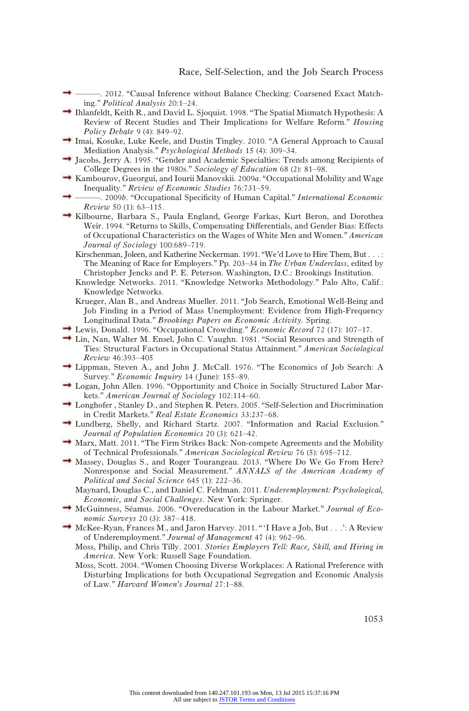- ———. 2012. "Causal Inference without Balance Checking: Coarsened Exact Matching." Political Analysis 20:1–24.
- Ihlanfeldt, Keith R., and David L. Sjoquist. 1998. "The Spatial Mismatch Hypothesis: A Review of Recent Studies and Their Implications for Welfare Reform." Housing Policy Debate 9 (4): 849–92.
- $\rightarrow$  Imai, Kosuke, Luke Keele, and Dustin Tingley. 2010. "A General Approach to Causal Mediation Analysis." Psychological Methods 15 (4): 309–34.
- Jacobs, Jerry A. 1995. "Gender and Academic Specialties: Trends among Recipients of College Degrees in the 1980s." Sociology of Education 68 (2): 81–98.
- Kambourov, Gueorgui, and Iourii Manovskii. 2009a. "Occupational Mobility and Wage Inequality." Review of Economic Studies 76:731–59.
- -. 2009b. "Occupational Specificity of Human Capital." International Economic Review 50 (1): 63–115.
- Kilbourne, Barbara S., Paula England, George Farkas, Kurt Beron, and Dorothea Weir. 1994. "Returns to Skills, Compensating Differentials, and Gender Bias: Effects of Occupational Characteristics on the Wages of White Men and Women." American Journal of Sociology 100:689–719.
	- Kirschenman, Joleen, and Katherine Neckerman. 1991. "We'd Love to Hire Them, But. . . : The Meaning of Race for Employers." Pp. 203–34 in The Urban Underclass, edited by Christopher Jencks and P. E. Peterson. Washington, D.C.: Brookings Institution.
	- Knowledge Networks. 2011. "Knowledge Networks Methodology." Palo Alto, Calif.: Knowledge Networks.
	- Krueger, Alan B., and Andreas Mueller. 2011. "Job Search, Emotional Well-Being and Job Finding in a Period of Mass Unemployment: Evidence from High-Frequency Longitudinal Data." Brookings Papers on Economic Activity. Spring.
- Lewis, Donald. 1996. "Occupational Crowding." *Economic Record* 72 (17): 107–17.
- $\rightarrow$  Lin, Nan, Walter M. Ensel, John C. Vaughn. 1981. "Social Resources and Strength of Ties: Structural Factors in Occupational Status Attainment." American Sociological Review 46:393–405
- Lippman, Steven A., and John J. McCall. 1976. "The Economics of Job Search: A Survey." Economic Inquiry 14 (June): 155-89.
- Logan, John Allen. 1996. "Opportunity and Choice in Socially Structured Labor Markets." American Journal of Sociology 102:114–60.
- $\rightarrow$  Longhofer, Stanley D., and Stephen R. Peters. 2005. "Self-Selection and Discrimination in Credit Markets." Real Estate Economics 33:237–68.
- Lundberg, Shelly, and Richard Startz. 2007. "Information and Racial Exclusion." Journal of Population Economics 20 (3): 621–42.
- $\rightarrow$  Marx, Matt. 2011. "The Firm Strikes Back: Non-compete Agreements and the Mobility of Technical Professionals." American Sociological Review 76 (5): 695–712.
- Massey, Douglas S., and Roger Tourangeau. 2013. "Where Do We Go From Here? Nonresponse and Social Measurement." ANNALS of the American Academy of Political and Social Science 645 (1): 222–36.
	- Maynard, Douglas C., and Daniel C. Feldman. 2011. Underemployment: Psychological, Economic, and Social Challenges. New York: Springer.
- $\rightarrow$  McGuinness, Séamus. 2006. "Overeducation in the Labour Market." Journal of Economic Surveys 20 (3): 387–418.
- $\rightarrow$  McKee-Ryan, Frances M., and Jaron Harvey. 2011. "'I Have a Job, But . . .': A Review of Underemployment." Journal of Management 47 (4): 962–96.
	- Moss, Philip, and Chris Tilly. 2001. Stories Employers Tell: Race, Skill, and Hiring in America. New York: Russell Sage Foundation.
	- Moss, Scott. 2004. "Women Choosing Diverse Workplaces: A Rational Preference with Disturbing Implications for both Occupational Segregation and Economic Analysis of Law." Harvard Women's Journal 27:1–88.